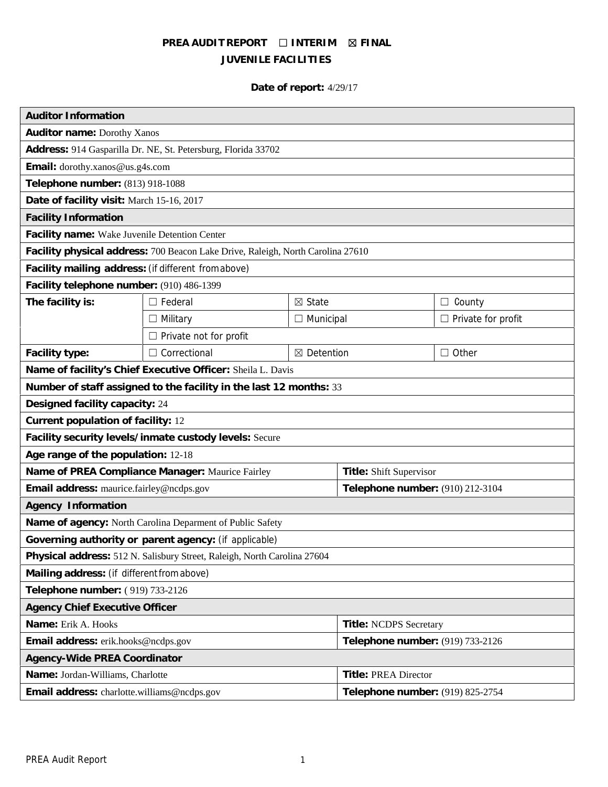# **PREA AUDIT REPORT ☐ INTERIM ☒ FINAL JUVENILE FACILITIES**

# **Date of report:** 4/29/17

| <b>Auditor Information</b>                                                      |                               |                             |                                  |                           |
|---------------------------------------------------------------------------------|-------------------------------|-----------------------------|----------------------------------|---------------------------|
| Auditor name: Dorothy Xanos                                                     |                               |                             |                                  |                           |
| Address: 914 Gasparilla Dr. NE, St. Petersburg, Florida 33702                   |                               |                             |                                  |                           |
| Email: dorothy.xanos@us.g4s.com                                                 |                               |                             |                                  |                           |
| Telephone number: (813) 918-1088                                                |                               |                             |                                  |                           |
| Date of facility visit: March 15-16, 2017                                       |                               |                             |                                  |                           |
| <b>Facility Information</b>                                                     |                               |                             |                                  |                           |
| Facility name: Wake Juvenile Detention Center                                   |                               |                             |                                  |                           |
| Facility physical address: 700 Beacon Lake Drive, Raleigh, North Carolina 27610 |                               |                             |                                  |                           |
| Facility mailing address: (if different fromabove)                              |                               |                             |                                  |                           |
| Facility telephone number: (910) 486-1399                                       |                               |                             |                                  |                           |
| The facility is:                                                                | $\Box$ Federal                | ⊠ State                     |                                  | $\Box$ County             |
|                                                                                 | $\Box$ Military               | $\Box$ Municipal            |                                  | $\Box$ Private for profit |
|                                                                                 | $\Box$ Private not for profit |                             |                                  |                           |
| Facility type:                                                                  | $\Box$ Correctional           | ⊠ Detention                 |                                  | $\Box$ Other              |
| Name of facility's Chief Executive Officer: Sheila L. Davis                     |                               |                             |                                  |                           |
| Number of staff assigned to the facility in the last 12 months: 33              |                               |                             |                                  |                           |
| Designed facility capacity: 24                                                  |                               |                             |                                  |                           |
| Current population of facility: 12                                              |                               |                             |                                  |                           |
| Facility security levels/inmate custody levels: Secure                          |                               |                             |                                  |                           |
| Age range of the population: 12-18                                              |                               |                             |                                  |                           |
| Name of PREA Compliance Manager: Maurice Fairley                                |                               |                             | Title: Shift Supervisor          |                           |
| Email address: maurice.fairley@ncdps.gov                                        |                               |                             | Telephone number: (910) 212-3104 |                           |
| Agency Information                                                              |                               |                             |                                  |                           |
| Name of agency: North Carolina Deparment of Public Safety                       |                               |                             |                                  |                           |
| Governing authority or parent agency: (if applicable)                           |                               |                             |                                  |                           |
| Physical address: 512 N. Salisbury Street, Raleigh, North Carolina 27604        |                               |                             |                                  |                           |
| Mailing address: (if different from above)                                      |                               |                             |                                  |                           |
| Telephone number: (919) 733-2126                                                |                               |                             |                                  |                           |
| Agency Chief Executive Officer                                                  |                               |                             |                                  |                           |
| Name: Erik A. Hooks<br>Title: NCDPS Secretary                                   |                               |                             |                                  |                           |
| Email address: erik.hooks@ncdps.gov                                             |                               |                             | Telephone number: (919) 733-2126 |                           |
| Agency-Wide PREA Coordinator                                                    |                               |                             |                                  |                           |
| Name: Jordan-Williams, Charlotte                                                |                               | <b>Title: PREA Director</b> |                                  |                           |
| Email address: charlotte.williams@ncdps.gov                                     |                               |                             | Telephone number: (919) 825-2754 |                           |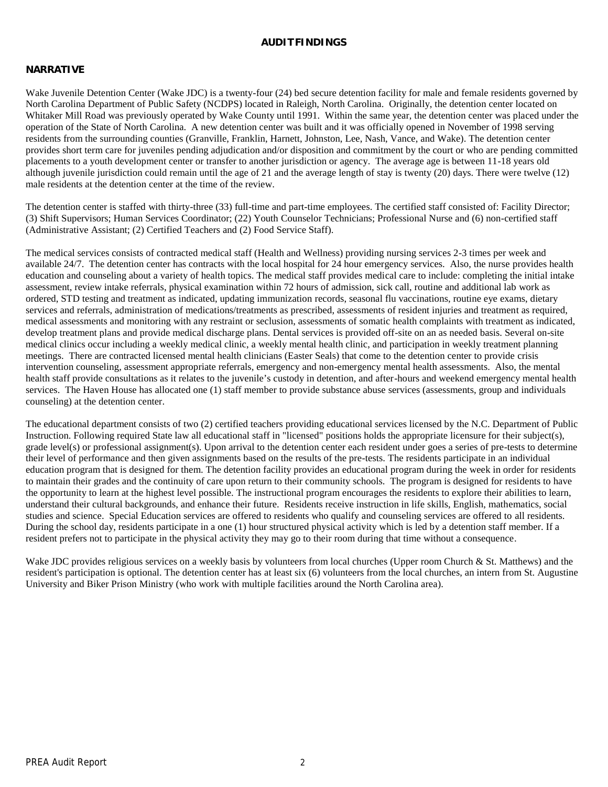#### **AUDITFINDINGS**

#### **NARRATIVE**

Wake Juvenile Detention Center (Wake JDC) is a twenty-four (24) bed secure detention facility for male and female residents governed by North Carolina Department of Public Safety (NCDPS) located in Raleigh, North Carolina. Originally, the detention center located on Whitaker Mill Road was previously operated by Wake County until 1991. Within the same year, the detention center was placed under the operation of the State of North Carolina. A new detention center was built and it was officially opened in November of 1998 serving residents from the surrounding counties (Granville, Franklin, Harnett, Johnston, Lee, Nash, Vance, and Wake). The detention center provides short term care for juveniles pending adjudication and/or disposition and commitment by the court or who are pending committed placements to a youth development center or transfer to another jurisdiction or agency. The average age is between 11-18 years old although juvenile jurisdiction could remain until the age of 21 and the average length of stay is twenty (20) days. There were twelve (12) male residents at the detention center at the time of the review.

The detention center is staffed with thirty-three (33) full-time and part-time employees. The certified staff consisted of: Facility Director; (3) Shift Supervisors; Human Services Coordinator; (22) Youth Counselor Technicians; Professional Nurse and (6) non-certified staff (Administrative Assistant; (2) Certified Teachers and (2) Food Service Staff).

The medical services consists of contracted medical staff (Health and Wellness) providing nursing services 2-3 times per week and available 24/7. The detention center has contracts with the local hospital for 24 hour emergency services. Also, the nurse provides health education and counseling about a variety of health topics. The medical staff provides medical care to include: completing the initial intake assessment, review intake referrals, physical examination within 72 hours of admission, sick call, routine and additional lab work as ordered, STD testing and treatment as indicated, updating immunization records, seasonal flu vaccinations, routine eye exams, dietary services and referrals, administration of medications/treatments as prescribed, assessments of resident injuries and treatment as required, medical assessments and monitoring with any restraint or seclusion, assessments of somatic health complaints with treatment as indicated, develop treatment plans and provide medical discharge plans. Dental services is provided off-site on an as needed basis. Several on-site medical clinics occur including a weekly medical clinic, a weekly mental health clinic, and participation in weekly treatment planning meetings. There are contracted licensed mental health clinicians (Easter Seals) that come to the detention center to provide crisis intervention counseling, assessment appropriate referrals, emergency and non-emergency mental health assessments. Also, the mental health staff provide consultations as it relates to the juvenile's custody in detention, and after-hours and weekend emergency mental health services. The Haven House has allocated one (1) staff member to provide substance abuse services (assessments, group and individuals counseling) at the detention center.

The educational department consists of two (2) certified teachers providing educational services licensed by the N.C. Department of Public Instruction. Following required State law all educational staff in "licensed" positions holds the appropriate licensure for their subject(s), grade level(s) or professional assignment(s). Upon arrival to the detention center each resident under goes a series of pre-tests to determine their level of performance and then given assignments based on the results of the pre-tests. The residents participate in an individual education program that is designed for them. The detention facility provides an educational program during the week in order for residents to maintain their grades and the continuity of care upon return to their community schools. The program is designed for residents to have the opportunity to learn at the highest level possible. The instructional program encourages the residents to explore their abilities to learn, understand their cultural backgrounds, and enhance their future. Residents receive instruction in life skills, English, mathematics, social studies and science. Special Education services are offered to residents who qualify and counseling services are offered to all residents. During the school day, residents participate in a one (1) hour structured physical activity which is led by a detention staff member. If a resident prefers not to participate in the physical activity they may go to their room during that time without a consequence.

Wake JDC provides religious services on a weekly basis by volunteers from local churches (Upper room Church & St. Matthews) and the resident's participation is optional. The detention center has at least six (6) volunteers from the local churches, an intern from St. Augustine University and Biker Prison Ministry (who work with multiple facilities around the North Carolina area).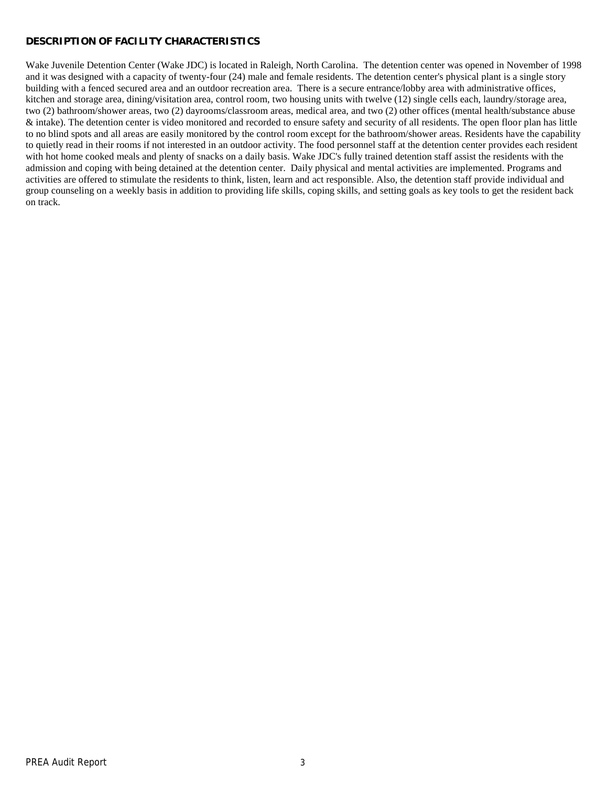## **DESCRIPTION OF FACILITY CHARACTERISTICS**

Wake Juvenile Detention Center (Wake JDC) is located in Raleigh, North Carolina. The detention center was opened in November of 1998 and it was designed with a capacity of twenty-four (24) male and female residents. The detention center's physical plant is a single story building with a fenced secured area and an outdoor recreation area. There is a secure entrance/lobby area with administrative offices, kitchen and storage area, dining/visitation area, control room, two housing units with twelve (12) single cells each, laundry/storage area, two (2) bathroom/shower areas, two (2) dayrooms/classroom areas, medical area, and two (2) other offices (mental health/substance abuse & intake). The detention center is video monitored and recorded to ensure safety and security of all residents. The open floor plan has little to no blind spots and all areas are easily monitored by the control room except for the bathroom/shower areas. Residents have the capability to quietly read in their rooms if not interested in an outdoor activity. The food personnel staff at the detention center provides each resident with hot home cooked meals and plenty of snacks on a daily basis. Wake JDC's fully trained detention staff assist the residents with the admission and coping with being detained at the detention center. Daily physical and mental activities are implemented. Programs and activities are offered to stimulate the residents to think, listen, learn and act responsible. Also, the detention staff provide individual and group counseling on a weekly basis in addition to providing life skills, coping skills, and setting goals as key tools to get the resident back on track.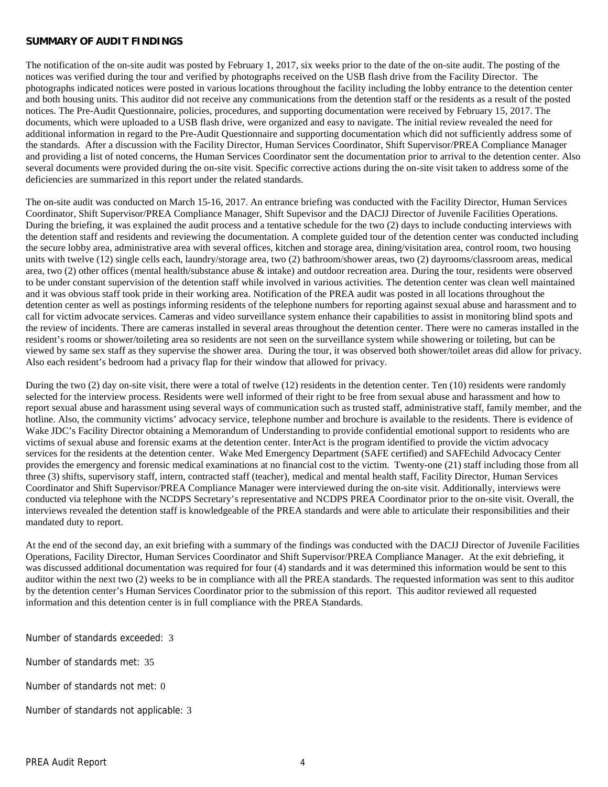#### **SUMMARY OF AUDIT FINDINGS**

The notification of the on-site audit was posted by February 1, 2017, six weeks prior to the date of the on-site audit. The posting of the notices was verified during the tour and verified by photographs received on the USB flash drive from the Facility Director. The photographs indicated notices were posted in various locations throughout the facility including the lobby entrance to the detention center and both housing units. This auditor did not receive any communications from the detention staff or the residents as a result of the posted notices. The Pre-Audit Questionnaire, policies, procedures, and supporting documentation were received by February 15, 2017. The documents, which were uploaded to a USB flash drive, were organized and easy to navigate. The initial review revealed the need for additional information in regard to the Pre-Audit Questionnaire and supporting documentation which did not sufficiently address some of the standards. After a discussion with the Facility Director, Human Services Coordinator, Shift Supervisor/PREA Compliance Manager and providing a list of noted concerns, the Human Services Coordinator sent the documentation prior to arrival to the detention center. Also several documents were provided during the on-site visit. Specific corrective actions during the on-site visit taken to address some of the deficiencies are summarized in this report under the related standards.

The on-site audit was conducted on March 15-16, 2017. An entrance briefing was conducted with the Facility Director, Human Services Coordinator, Shift Supervisor/PREA Compliance Manager, Shift Supevisor and the DACJJ Director of Juvenile Facilities Operations. During the briefing, it was explained the audit process and a tentative schedule for the two (2) days to include conducting interviews with the detention staff and residents and reviewing the documentation. A complete guided tour of the detention center was conducted including the secure lobby area, administrative area with several offices, kitchen and storage area, dining/visitation area, control room, two housing units with twelve (12) single cells each, laundry/storage area, two (2) bathroom/shower areas, two (2) dayrooms/classroom areas, medical area, two (2) other offices (mental health/substance abuse & intake) and outdoor recreation area. During the tour, residents were observed to be under constant supervision of the detention staff while involved in various activities. The detention center was clean well maintained and it was obvious staff took pride in their working area. Notification of the PREA audit was posted in all locations throughout the detention center as well as postings informing residents of the telephone numbers for reporting against sexual abuse and harassment and to call for victim advocate services. Cameras and video surveillance system enhance their capabilities to assist in monitoring blind spots and the review of incidents. There are cameras installed in several areas throughout the detention center. There were no cameras installed in the resident's rooms or shower/toileting area so residents are not seen on the surveillance system while showering or toileting, but can be viewed by same sex staff as they supervise the shower area. During the tour, it was observed both shower/toilet areas did allow for privacy. Also each resident's bedroom had a privacy flap for their window that allowed for privacy.

During the two (2) day on-site visit, there were a total of twelve (12) residents in the detention center. Ten (10) residents were randomly selected for the interview process. Residents were well informed of their right to be free from sexual abuse and harassment and how to report sexual abuse and harassment using several ways of communication such as trusted staff, administrative staff, family member, and the hotline. Also, the community victims' advocacy service, telephone number and brochure is available to the residents. There is evidence of Wake JDC's Facility Director obtaining a Memorandum of Understanding to provide confidential emotional support to residents who are victims of sexual abuse and forensic exams at the detention center. InterAct is the program identified to provide the victim advocacy services for the residents at the detention center. Wake Med Emergency Department (SAFE certified) and SAFEchild Advocacy Center provides the emergency and forensic medical examinations at no financial cost to the victim. Twenty-one (21) staff including those from all three (3) shifts, supervisory staff, intern, contracted staff (teacher), medical and mental health staff, Facility Director, Human Services Coordinator and Shift Supervisor/PREA Compliance Manager were interviewed during the on-site visit. Additionally, interviews were conducted via telephone with the NCDPS Secretary's representative and NCDPS PREA Coordinator prior to the on-site visit. Overall, the interviews revealed the detention staff is knowledgeable of the PREA standards and were able to articulate their responsibilities and their mandated duty to report.

At the end of the second day, an exit briefing with a summary of the findings was conducted with the DACJJ Director of Juvenile Facilities Operations, Facility Director, Human Services Coordinator and Shift Supervisor/PREA Compliance Manager. At the exit debriefing, it was discussed additional documentation was required for four (4) standards and it was determined this information would be sent to this auditor within the next two (2) weeks to be in compliance with all the PREA standards. The requested information was sent to this auditor by the detention center's Human Services Coordinator prior to the submission of this report. This auditor reviewed all requested information and this detention center is in full compliance with the PREA Standards.

Number of standards exceeded: 3

Number of standards met: 35

Number of standards not met: 0

Number of standards not applicable: 3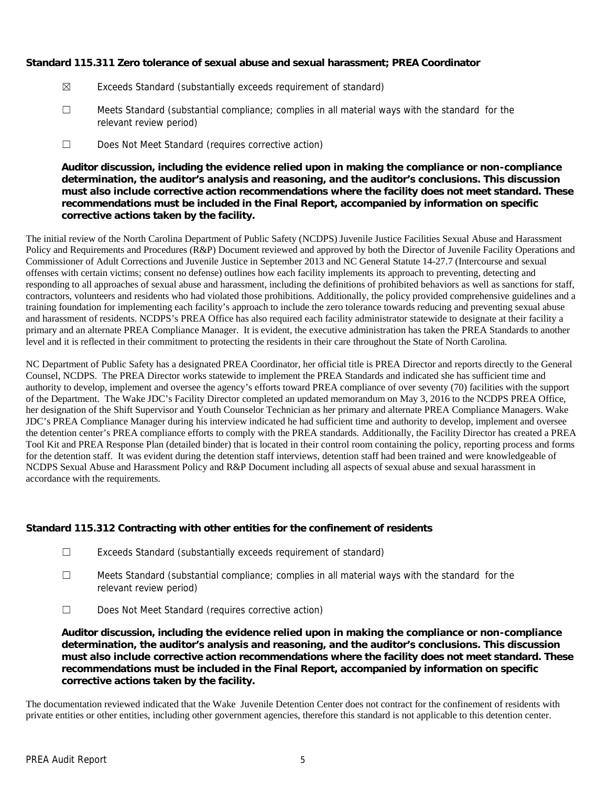**Standard 115.311 Zero tolerance of sexual abuse and sexual harassment; PREA Coordinator**

- ☒ Exceeds Standard (substantially exceeds requirement of standard)
- ☐ Meets Standard (substantial compliance; complies in all material ways with the standard for the relevant review period)
- ☐ Does Not Meet Standard (requires corrective action)

**Auditor discussion, including the evidence relied upon in making the compliance or non-compliance determination, the auditor's analysis and reasoning, and the auditor's conclusions. This discussion must also include corrective action recommendations where the facility does not meet standard. These recommendations must be included in the Final Report, accompanied by information on specific corrective actions taken by the facility.**

The initial review of the North Carolina Department of Public Safety (NCDPS) Juvenile Justice Facilities Sexual Abuse and Harassment Policy and Requirements and Procedures (R&P) Document reviewed and approved by both the Director of Juvenile Facility Operations and Commissioner of Adult Corrections and Juvenile Justice in September 2013 and NC General Statute 14-27.7 (Intercourse and sexual offenses with certain victims; consent no defense) outlines how each facility implements its approach to preventing, detecting and responding to all approaches of sexual abuse and harassment, including the definitions of prohibited behaviors as well as sanctions for staff, contractors, volunteers and residents who had violated those prohibitions. Additionally, the policy provided comprehensive guidelines and a training foundation for implementing each facility's approach to include the zero tolerance towards reducing and preventing sexual abuse and harassment of residents. NCDPS's PREA Office has also required each facility administrator statewide to designate at their facility a primary and an alternate PREA Compliance Manager. It is evident, the executive administration has taken the PREA Standards to another level and it is reflected in their commitment to protecting the residents in their care throughout the State of North Carolina.

NC Department of Public Safety has a designated PREA Coordinator, her official title is PREA Director and reports directly to the General Counsel, NCDPS. The PREA Director works statewide to implement the PREA Standards and indicated she has sufficient time and authority to develop, implement and oversee the agency's efforts toward PREA compliance of over seventy (70) facilities with the support of the Department. The Wake JDC's Facility Director completed an updated memorandum on May 3, 2016 to the NCDPS PREA Office, her designation of the Shift Supervisor and Youth Counselor Technician as her primary and alternate PREA Compliance Managers. Wake JDC's PREA Compliance Manager during his interview indicated he had sufficient time and authority to develop, implement and oversee the detention center's PREA compliance efforts to comply with the PREA standards. Additionally, the Facility Director has created a PREA Tool Kit and PREA Response Plan (detailed binder) that is located in their control room containing the policy, reporting process and forms for the detention staff. It was evident during the detention staff interviews, detention staff had been trained and were knowledgeable of NCDPS Sexual Abuse and Harassment Policy and R&P Document including all aspects of sexual abuse and sexual harassment in accordance with the requirements.

**Standard 115.312 Contracting with other entities for the confinement of residents**

- ☐ Exceeds Standard (substantially exceeds requirement of standard)
- ☐ Meets Standard (substantial compliance; complies in all material ways with the standard for the relevant review period)
- ☐ Does Not Meet Standard (requires corrective action)

**Auditor discussion, including the evidence relied upon in making the compliance or non-compliance determination, the auditor's analysis and reasoning, and the auditor's conclusions. This discussion must also include corrective action recommendations where the facility does not meet standard. These recommendations must be included in the Final Report, accompanied by information on specific corrective actions taken by the facility.**

The documentation reviewed indicated that the Wake Juvenile Detention Center does not contract for the confinement of residents with private entities or other entities, including other government agencies, therefore this standard is not applicable to this detention center.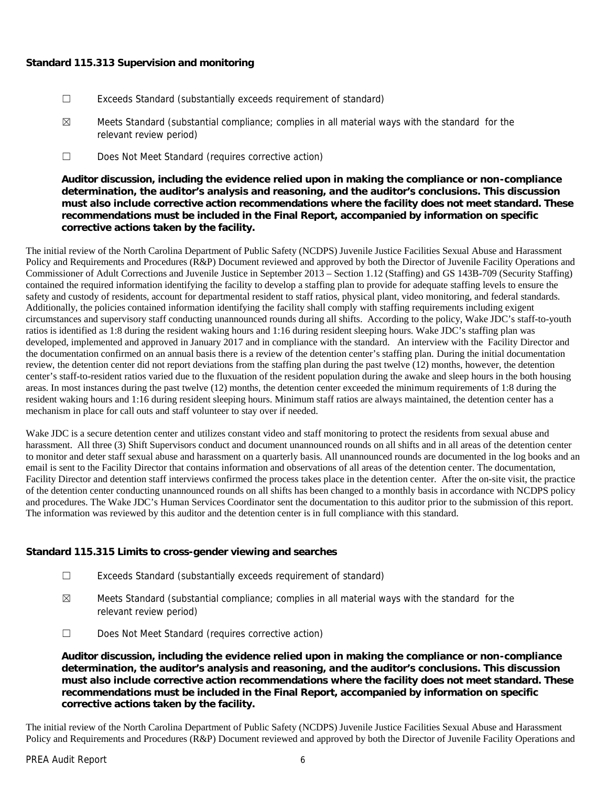## **Standard 115.313 Supervision and monitoring**

- ☐ Exceeds Standard (substantially exceeds requirement of standard)
- $\boxtimes$  Meets Standard (substantial compliance; complies in all material ways with the standard for the relevant review period)
- ☐ Does Not Meet Standard (requires corrective action)

**Auditor discussion, including the evidence relied upon in making the compliance or non-compliance determination, the auditor's analysis and reasoning, and the auditor's conclusions. This discussion must also include corrective action recommendations where the facility does not meet standard. These recommendations must be included in the Final Report, accompanied by information on specific corrective actions taken by the facility.**

The initial review of the North Carolina Department of Public Safety (NCDPS) Juvenile Justice Facilities Sexual Abuse and Harassment Policy and Requirements and Procedures (R&P) Document reviewed and approved by both the Director of Juvenile Facility Operations and Commissioner of Adult Corrections and Juvenile Justice in September 2013 – Section 1.12 (Staffing) and GS 143B-709 (Security Staffing) contained the required information identifying the facility to develop a staffing plan to provide for adequate staffing levels to ensure the safety and custody of residents, account for departmental resident to staff ratios, physical plant, video monitoring, and federal standards. Additionally, the policies contained information identifying the facility shall comply with staffing requirements including exigent circumstances and supervisory staff conducting unannounced rounds during all shifts. According to the policy, Wake JDC's staff-to-youth ratios is identified as 1:8 during the resident waking hours and 1:16 during resident sleeping hours. Wake JDC's staffing plan was developed, implemented and approved in January 2017 and in compliance with the standard. An interview with the Facility Director and the documentation confirmed on an annual basis there is a review of the detention center's staffing plan. During the initial documentation review, the detention center did not report deviations from the staffing plan during the past twelve (12) months, however, the detention center's staff-to-resident ratios varied due to the fluxuation of the resident population during the awake and sleep hours in the both housing areas. In most instances during the past twelve (12) months, the detention center exceeded the minimum requirements of 1:8 during the resident waking hours and 1:16 during resident sleeping hours. Minimum staff ratios are always maintained, the detention center has a mechanism in place for call outs and staff volunteer to stay over if needed.

Wake JDC is a secure detention center and utilizes constant video and staff monitoring to protect the residents from sexual abuse and harassment. All three (3) Shift Supervisors conduct and document unannounced rounds on all shifts and in all areas of the detention center to monitor and deter staff sexual abuse and harassment on a quarterly basis. All unannounced rounds are documented in the log books and an email is sent to the Facility Director that contains information and observations of all areas of the detention center. The documentation, Facility Director and detention staff interviews confirmed the process takes place in the detention center. After the on-site visit, the practice of the detention center conducting unannounced rounds on all shifts has been changed to a monthly basis in accordance with NCDPS policy and procedures. The Wake JDC's Human Services Coordinator sent the documentation to this auditor prior to the submission of this report. The information was reviewed by this auditor and the detention center is in full compliance with this standard.

**Standard 115.315 Limits to cross-gender viewing and searches**

- ☐ Exceeds Standard (substantially exceeds requirement of standard)
- $\boxtimes$  Meets Standard (substantial compliance; complies in all material ways with the standard for the relevant review period)
- ☐ Does Not Meet Standard (requires corrective action)

**Auditor discussion, including the evidence relied upon in making the compliance or non-compliance determination, the auditor's analysis and reasoning, and the auditor's conclusions. This discussion must also include corrective action recommendations where the facility does not meet standard. These recommendations must be included in the Final Report, accompanied by information on specific corrective actions taken by the facility.**

The initial review of the North Carolina Department of Public Safety (NCDPS) Juvenile Justice Facilities Sexual Abuse and Harassment Policy and Requirements and Procedures (R&P) Document reviewed and approved by both the Director of Juvenile Facility Operations and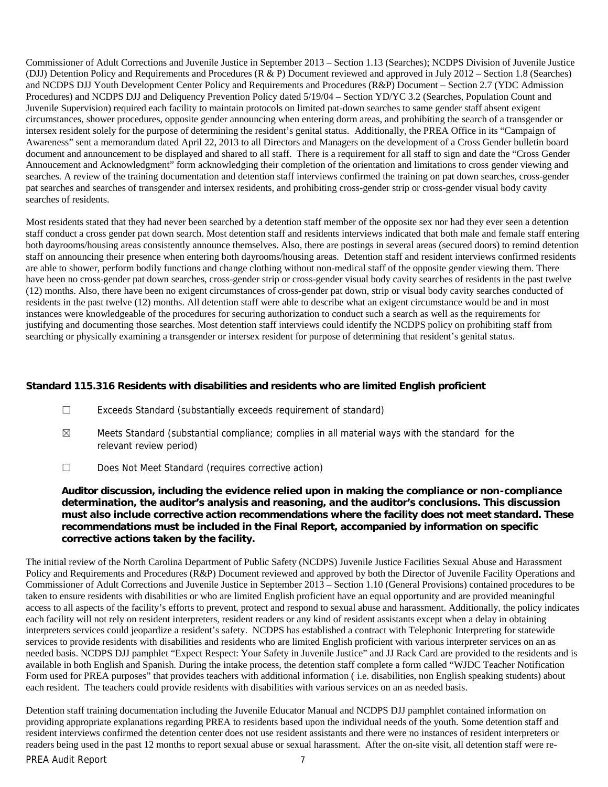Commissioner of Adult Corrections and Juvenile Justice in September 2013 – Section 1.13 (Searches); NCDPS Division of Juvenile Justice (DJJ) Detention Policy and Requirements and Procedures (R & P) Document reviewed and approved in July 2012 – Section 1.8 (Searches) and NCDPS DJJ Youth Development Center Policy and Requirements and Procedures (R&P) Document – Section 2.7 (YDC Admission Procedures) and NCDPS DJJ and Deliquency Prevention Policy dated 5/19/04 – Section YD/YC 3.2 (Searches, Population Count and Juvenile Supervision) required each facility to maintain protocols on limited pat-down searches to same gender staff absent exigent circumstances, shower procedures, opposite gender announcing when entering dorm areas, and prohibiting the search of a transgender or intersex resident solely for the purpose of determining the resident's genital status. Additionally, the PREA Office in its "Campaign of Awareness" sent a memorandum dated April 22, 2013 to all Directors and Managers on the development of a Cross Gender bulletin board document and announcement to be displayed and shared to all staff. There is a requirement for all staff to sign and date the "Cross Gender Annoucement and Acknowledgment" form acknowledging their completion of the orientation and limitations to cross gender viewing and searches. A review of the training documentation and detention staff interviews confirmed the training on pat down searches, cross-gender pat searches and searches of transgender and intersex residents, and prohibiting cross-gender strip or cross-gender visual body cavity searches of residents.

Most residents stated that they had never been searched by a detention staff member of the opposite sex nor had they ever seen a detention staff conduct a cross gender pat down search. Most detention staff and residents interviews indicated that both male and female staff entering both dayrooms/housing areas consistently announce themselves. Also, there are postings in several areas (secured doors) to remind detention staff on announcing their presence when entering both dayrooms/housing areas. Detention staff and resident interviews confirmed residents are able to shower, perform bodily functions and change clothing without non-medical staff of the opposite gender viewing them. There have been no cross-gender pat down searches, cross-gender strip or cross-gender visual body cavity searches of residents in the past twelve (12) months. Also, there have been no exigent circumstances of cross-gender pat down, strip or visual body cavity searches conducted of residents in the past twelve (12) months. All detention staff were able to describe what an exigent circumstance would be and in most instances were knowledgeable of the procedures for securing authorization to conduct such a search as well as the requirements for justifying and documenting those searches. Most detention staff interviews could identify the NCDPS policy on prohibiting staff from searching or physically examining a transgender or intersex resident for purpose of determining that resident's genital status.

#### **Standard 115.316 Residents with disabilities and residents who are limited English proficient**

- ☐ Exceeds Standard (substantially exceeds requirement of standard)
- $\boxtimes$  Meets Standard (substantial compliance; complies in all material ways with the standard for the relevant review period)
- ☐ Does Not Meet Standard (requires corrective action)

**Auditor discussion, including the evidence relied upon in making the compliance or non-compliance determination, the auditor's analysis and reasoning, and the auditor's conclusions. This discussion must also include corrective action recommendations where the facility does not meet standard. These recommendations must be included in the Final Report, accompanied by information on specific corrective actions taken by the facility.**

The initial review of the North Carolina Department of Public Safety (NCDPS) Juvenile Justice Facilities Sexual Abuse and Harassment Policy and Requirements and Procedures (R&P) Document reviewed and approved by both the Director of Juvenile Facility Operations and Commissioner of Adult Corrections and Juvenile Justice in September 2013 – Section 1.10 (General Provisions) contained procedures to be taken to ensure residents with disabilities or who are limited English proficient have an equal opportunity and are provided meaningful access to all aspects of the facility's efforts to prevent, protect and respond to sexual abuse and harassment. Additionally, the policy indicates each facility will not rely on resident interpreters, resident readers or any kind of resident assistants except when a delay in obtaining interpreters services could jeopardize a resident's safety. NCDPS has established a contract with Telephonic Interpreting for statewide services to provide residents with disabilities and residents who are limited English proficient with various interpreter services on an as needed basis. NCDPS DJJ pamphlet "Expect Respect: Your Safety in Juvenile Justice" and JJ Rack Card are provided to the residents and is available in both English and Spanish. During the intake process, the detention staff complete a form called "WJDC Teacher Notification Form used for PREA purposes" that provides teachers with additional information ( i.e. disabilities, non English speaking students) about each resident. The teachers could provide residents with disabilities with various services on an as needed basis.

PREA Audit Report 7 Detention staff training documentation including the Juvenile Educator Manual and NCDPS DJJ pamphlet contained information on providing appropriate explanations regarding PREA to residents based upon the individual needs of the youth. Some detention staff and resident interviews confirmed the detention center does not use resident assistants and there were no instances of resident interpreters or readers being used in the past 12 months to report sexual abuse or sexual harassment. After the on-site visit, all detention staff were re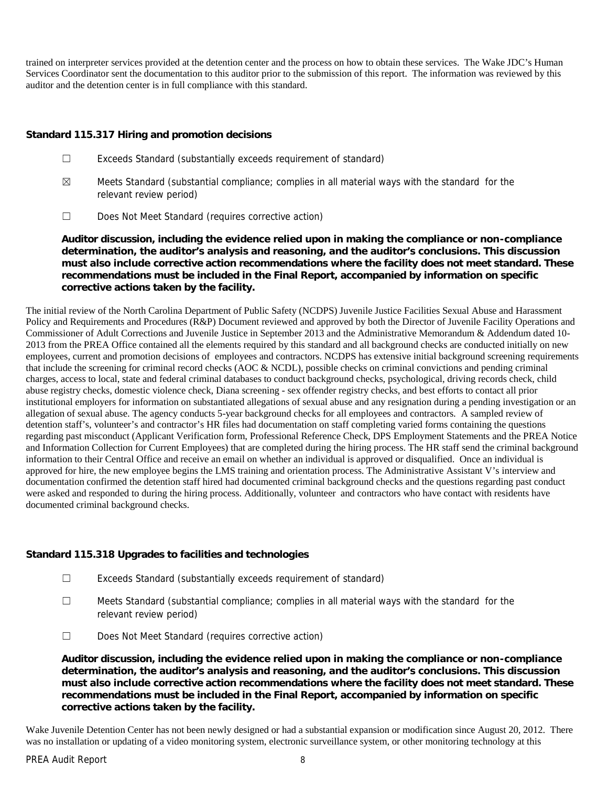trained on interpreter services provided at the detention center and the process on how to obtain these services. The Wake JDC's Human Services Coordinator sent the documentation to this auditor prior to the submission of this report. The information was reviewed by this auditor and the detention center is in full compliance with this standard.

## **Standard 115.317 Hiring and promotion decisions**

- ☐ Exceeds Standard (substantially exceeds requirement of standard)
- $\boxtimes$  Meets Standard (substantial compliance; complies in all material ways with the standard for the relevant review period)
- ☐ Does Not Meet Standard (requires corrective action)

**Auditor discussion, including the evidence relied upon in making the compliance or non-compliance determination, the auditor's analysis and reasoning, and the auditor's conclusions. This discussion must also include corrective action recommendations where the facility does not meet standard. These recommendations must be included in the Final Report, accompanied by information on specific corrective actions taken by the facility.**

The initial review of the North Carolina Department of Public Safety (NCDPS) Juvenile Justice Facilities Sexual Abuse and Harassment Policy and Requirements and Procedures (R&P) Document reviewed and approved by both the Director of Juvenile Facility Operations and Commissioner of Adult Corrections and Juvenile Justice in September 2013 and the Administrative Memorandum & Addendum dated 10- 2013 from the PREA Office contained all the elements required by this standard and all background checks are conducted initially on new employees, current and promotion decisions of employees and contractors. NCDPS has extensive initial background screening requirements that include the screening for criminal record checks (AOC & NCDL), possible checks on criminal convictions and pending criminal charges, access to local, state and federal criminal databases to conduct background checks, psychological, driving records check, child abuse registry checks, domestic violence check, Diana screening - sex offender registry checks, and best efforts to contact all prior institutional employers for information on substantiated allegations of sexual abuse and any resignation during a pending investigation or an allegation of sexual abuse. The agency conducts 5-year background checks for all employees and contractors. A sampled review of detention staff's, volunteer's and contractor's HR files had documentation on staff completing varied forms containing the questions regarding past misconduct (Applicant Verification form, Professional Reference Check, DPS Employment Statements and the PREA Notice and Information Collection for Current Employees) that are completed during the hiring process. The HR staff send the criminal background information to their Central Office and receive an email on whether an individual is approved or disqualified. Once an individual is approved for hire, the new employee begins the LMS training and orientation process. The Administrative Assistant V's interview and documentation confirmed the detention staff hired had documented criminal background checks and the questions regarding past conduct were asked and responded to during the hiring process. Additionally, volunteer and contractors who have contact with residents have documented criminal background checks.

**Standard 115.318 Upgrades to facilities and technologies**

- ☐ Exceeds Standard (substantially exceeds requirement of standard)
- ☐ Meets Standard (substantial compliance; complies in all material ways with the standard for the relevant review period)
- ☐ Does Not Meet Standard (requires corrective action)

**Auditor discussion, including the evidence relied upon in making the compliance or non-compliance determination, the auditor's analysis and reasoning, and the auditor's conclusions. This discussion must also include corrective action recommendations where the facility does not meet standard. These recommendations must be included in the Final Report, accompanied by information on specific corrective actions taken by the facility.**

Wake Juvenile Detention Center has not been newly designed or had a substantial expansion or modification since August 20, 2012. There was no installation or updating of a video monitoring system, electronic surveillance system, or other monitoring technology at this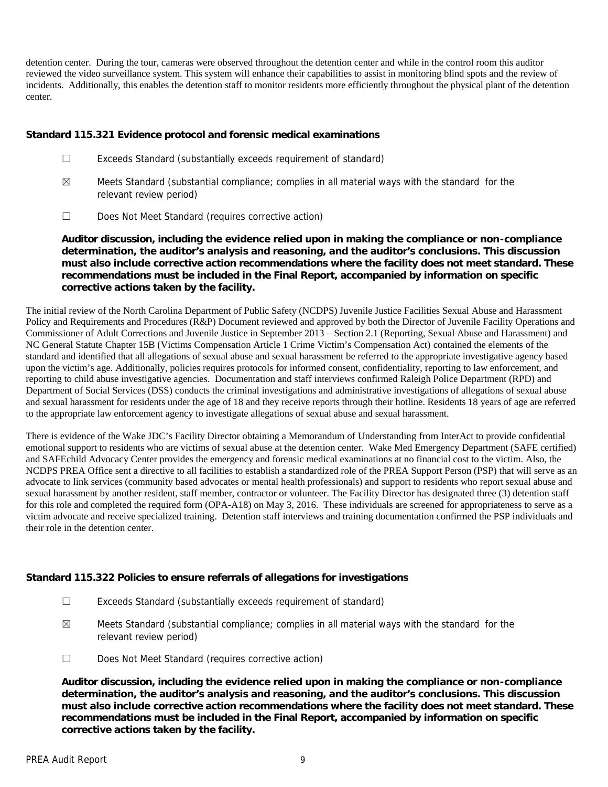detention center. During the tour, cameras were observed throughout the detention center and while in the control room this auditor reviewed the video surveillance system. This system will enhance their capabilities to assist in monitoring blind spots and the review of incidents. Additionally, this enables the detention staff to monitor residents more efficiently throughout the physical plant of the detention center.

**Standard 115.321 Evidence protocol and forensic medical examinations**

- ☐ Exceeds Standard (substantially exceeds requirement of standard)
- $\boxtimes$  Meets Standard (substantial compliance; complies in all material ways with the standard for the relevant review period)
- ☐ Does Not Meet Standard (requires corrective action)

**Auditor discussion, including the evidence relied upon in making the compliance or non-compliance determination, the auditor's analysis and reasoning, and the auditor's conclusions. This discussion must also include corrective action recommendations where the facility does not meet standard. These recommendations must be included in the Final Report, accompanied by information on specific corrective actions taken by the facility.**

The initial review of the North Carolina Department of Public Safety (NCDPS) Juvenile Justice Facilities Sexual Abuse and Harassment Policy and Requirements and Procedures (R&P) Document reviewed and approved by both the Director of Juvenile Facility Operations and Commissioner of Adult Corrections and Juvenile Justice in September 2013 – Section 2.1 (Reporting, Sexual Abuse and Harassment) and NC General Statute Chapter 15B (Victims Compensation Article 1 Crime Victim's Compensation Act) contained the elements of the standard and identified that all allegations of sexual abuse and sexual harassment be referred to the appropriate investigative agency based upon the victim's age. Additionally, policies requires protocols for informed consent, confidentiality, reporting to law enforcement, and reporting to child abuse investigative agencies. Documentation and staff interviews confirmed Raleigh Police Department (RPD) and Department of Social Services (DSS) conducts the criminal investigations and administrative investigations of allegations of sexual abuse and sexual harassment for residents under the age of 18 and they receive reports through their hotline. Residents 18 years of age are referred to the appropriate law enforcement agency to investigate allegations of sexual abuse and sexual harassment.

There is evidence of the Wake JDC's Facility Director obtaining a Memorandum of Understanding from InterAct to provide confidential emotional support to residents who are victims of sexual abuse at the detention center. Wake Med Emergency Department (SAFE certified) and SAFEchild Advocacy Center provides the emergency and forensic medical examinations at no financial cost to the victim. Also, the NCDPS PREA Office sent a directive to all facilities to establish a standardized role of the PREA Support Person (PSP) that will serve as an advocate to link services (community based advocates or mental health professionals) and support to residents who report sexual abuse and sexual harassment by another resident, staff member, contractor or volunteer. The Facility Director has designated three (3) detention staff for this role and completed the required form (OPA-A18) on May 3, 2016. These individuals are screened for appropriateness to serve as a victim advocate and receive specialized training. Detention staff interviews and training documentation confirmed the PSP individuals and their role in the detention center.

**Standard 115.322 Policies to ensure referrals of allegations for investigations**

- ☐ Exceeds Standard (substantially exceeds requirement of standard)
- $\boxtimes$  Meets Standard (substantial compliance; complies in all material ways with the standard for the relevant review period)
- ☐ Does Not Meet Standard (requires corrective action)

**Auditor discussion, including the evidence relied upon in making the compliance or non-compliance determination, the auditor's analysis and reasoning, and the auditor's conclusions. This discussion must also include corrective action recommendations where the facility does not meet standard. These recommendations must be included in the Final Report, accompanied by information on specific corrective actions taken by the facility.**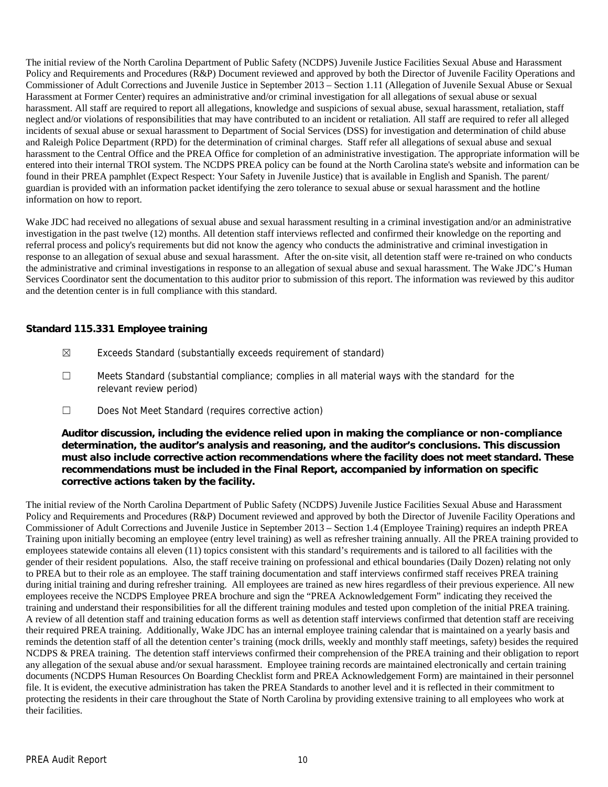The initial review of the North Carolina Department of Public Safety (NCDPS) Juvenile Justice Facilities Sexual Abuse and Harassment Policy and Requirements and Procedures (R&P) Document reviewed and approved by both the Director of Juvenile Facility Operations and Commissioner of Adult Corrections and Juvenile Justice in September 2013 – Section 1.11 (Allegation of Juvenile Sexual Abuse or Sexual Harassment at Former Center) requires an administrative and/or criminal investigation for all allegations of sexual abuse or sexual harassment. All staff are required to report all allegations, knowledge and suspicions of sexual abuse, sexual harassment, retaliation, staff neglect and/or violations of responsibilities that may have contributed to an incident or retaliation. All staff are required to refer all alleged incidents of sexual abuse or sexual harassment to Department of Social Services (DSS) for investigation and determination of child abuse and Raleigh Police Department (RPD) for the determination of criminal charges. Staff refer all allegations of sexual abuse and sexual harassment to the Central Office and the PREA Office for completion of an administrative investigation. The appropriate information will be entered into their internal TROI system. The NCDPS PREA policy can be found at the North Carolina state's website and information can be found in their PREA pamphlet (Expect Respect: Your Safety in Juvenile Justice) that is available in English and Spanish. The parent/ guardian is provided with an information packet identifying the zero tolerance to sexual abuse or sexual harassment and the hotline information on how to report.

Wake JDC had received no allegations of sexual abuse and sexual harassment resulting in a criminal investigation and/or an administrative investigation in the past twelve (12) months. All detention staff interviews reflected and confirmed their knowledge on the reporting and referral process and policy's requirements but did not know the agency who conducts the administrative and criminal investigation in response to an allegation of sexual abuse and sexual harassment. After the on-site visit, all detention staff were re-trained on who conducts the administrative and criminal investigations in response to an allegation of sexual abuse and sexual harassment. The Wake JDC's Human Services Coordinator sent the documentation to this auditor prior to submission of this report. The information was reviewed by this auditor and the detention center is in full compliance with this standard.

#### **Standard 115.331 Employee training**

- ☒ Exceeds Standard (substantially exceeds requirement of standard)
- ☐ Meets Standard (substantial compliance; complies in all material ways with the standard for the relevant review period)
- ☐ Does Not Meet Standard (requires corrective action)

**Auditor discussion, including the evidence relied upon in making the compliance or non-compliance determination, the auditor's analysis and reasoning, and the auditor's conclusions. This discussion must also include corrective action recommendations where the facility does not meet standard. These recommendations must be included in the Final Report, accompanied by information on specific corrective actions taken by the facility.**

The initial review of the North Carolina Department of Public Safety (NCDPS) Juvenile Justice Facilities Sexual Abuse and Harassment Policy and Requirements and Procedures (R&P) Document reviewed and approved by both the Director of Juvenile Facility Operations and Commissioner of Adult Corrections and Juvenile Justice in September 2013 – Section 1.4 (Employee Training) requires an indepth PREA Training upon initially becoming an employee (entry level training) as well as refresher training annually. All the PREA training provided to employees statewide contains all eleven (11) topics consistent with this standard's requirements and is tailored to all facilities with the gender of their resident populations. Also, the staff receive training on professional and ethical boundaries (Daily Dozen) relating not only to PREA but to their role as an employee. The staff training documentation and staff interviews confirmed staff receives PREA training during initial training and during refresher training. All employees are trained as new hires regardless of their previous experience. All new employees receive the NCDPS Employee PREA brochure and sign the "PREA Acknowledgement Form" indicating they received the training and understand their responsibilities for all the different training modules and tested upon completion of the initial PREA training. A review of all detention staff and training education forms as well as detention staff interviews confirmed that detention staff are receiving their required PREA training. Additionally, Wake JDC has an internal employee training calendar that is maintained on a yearly basis and reminds the detention staff of all the detention center's training (mock drills, weekly and monthly staff meetings, safety) besides the required NCDPS & PREA training. The detention staff interviews confirmed their comprehension of the PREA training and their obligation to report any allegation of the sexual abuse and/or sexual harassment. Employee training records are maintained electronically and certain training documents (NCDPS Human Resources On Boarding Checklist form and PREA Acknowledgement Form) are maintained in their personnel file. It is evident, the executive administration has taken the PREA Standards to another level and it is reflected in their commitment to protecting the residents in their care throughout the State of North Carolina by providing extensive training to all employees who work at their facilities.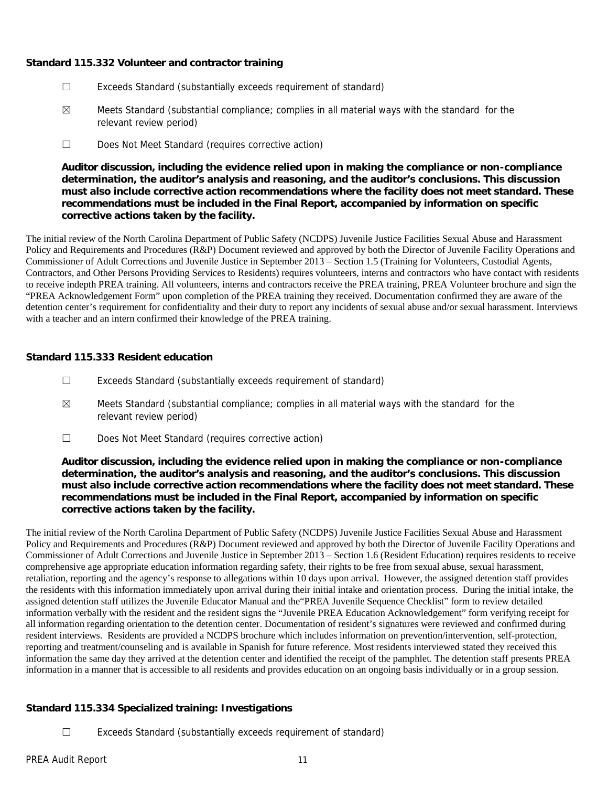## **Standard 115.332 Volunteer and contractor training**

- ☐ Exceeds Standard (substantially exceeds requirement of standard)
- $\boxtimes$  Meets Standard (substantial compliance; complies in all material ways with the standard for the relevant review period)
- ☐ Does Not Meet Standard (requires corrective action)

**Auditor discussion, including the evidence relied upon in making the compliance or non-compliance determination, the auditor's analysis and reasoning, and the auditor's conclusions. This discussion must also include corrective action recommendations where the facility does not meet standard. These recommendations must be included in the Final Report, accompanied by information on specific corrective actions taken by the facility.**

The initial review of the North Carolina Department of Public Safety (NCDPS) Juvenile Justice Facilities Sexual Abuse and Harassment Policy and Requirements and Procedures (R&P) Document reviewed and approved by both the Director of Juvenile Facility Operations and Commissioner of Adult Corrections and Juvenile Justice in September 2013 – Section 1.5 (Training for Volunteers, Custodial Agents, Contractors, and Other Persons Providing Services to Residents) requires volunteers, interns and contractors who have contact with residents to receive indepth PREA training. All volunteers, interns and contractors receive the PREA training, PREA Volunteer brochure and sign the "PREA Acknowledgement Form" upon completion of the PREA training they received. Documentation confirmed they are aware of the detention center's requirement for confidentiality and their duty to report any incidents of sexual abuse and/or sexual harassment. Interviews with a teacher and an intern confirmed their knowledge of the PREA training.

## **Standard 115.333 Resident education**

- ☐ Exceeds Standard (substantially exceeds requirement of standard)
- $\boxtimes$  Meets Standard (substantial compliance; complies in all material ways with the standard for the relevant review period)
- ☐ Does Not Meet Standard (requires corrective action)

**Auditor discussion, including the evidence relied upon in making the compliance or non-compliance determination, the auditor's analysis and reasoning, and the auditor's conclusions. This discussion must also include corrective action recommendations where the facility does not meet standard. These recommendations must be included in the Final Report, accompanied by information on specific corrective actions taken by the facility.**

The initial review of the North Carolina Department of Public Safety (NCDPS) Juvenile Justice Facilities Sexual Abuse and Harassment Policy and Requirements and Procedures (R&P) Document reviewed and approved by both the Director of Juvenile Facility Operations and Commissioner of Adult Corrections and Juvenile Justice in September 2013 – Section 1.6 (Resident Education) requires residents to receive comprehensive age appropriate education information regarding safety, their rights to be free from sexual abuse, sexual harassment, retaliation, reporting and the agency's response to allegations within 10 days upon arrival. However, the assigned detention staff provides the residents with this information immediately upon arrival during their initial intake and orientation process. During the initial intake, the assigned detention staff utilizes the Juvenile Educator Manual and the"PREA Juvenile Sequence Checklist" form to review detailed information verbally with the resident and the resident signs the "Juvenile PREA Education Acknowledgement" form verifying receipt for all information regarding orientation to the detention center. Documentation of resident's signatures were reviewed and confirmed during resident interviews. Residents are provided a NCDPS brochure which includes information on prevention/intervention, self-protection, reporting and treatment/counseling and is available in Spanish for future reference. Most residents interviewed stated they received this information the same day they arrived at the detention center and identified the receipt of the pamphlet. The detention staff presents PREA information in a manner that is accessible to all residents and provides education on an ongoing basis individually or in a group session.

## **Standard 115.334 Specialized training: Investigations**

☐ Exceeds Standard (substantially exceeds requirement of standard)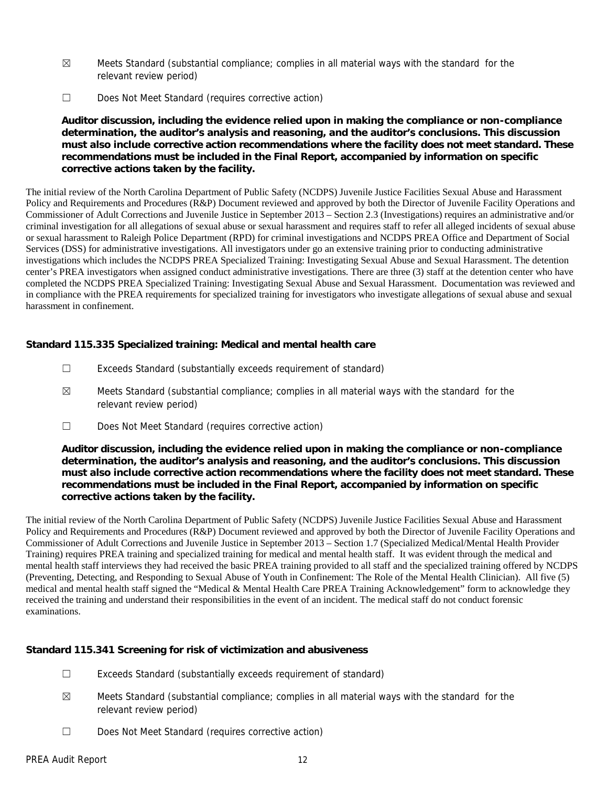- $\boxtimes$  Meets Standard (substantial compliance; complies in all material ways with the standard for the relevant review period)
- ☐ Does Not Meet Standard (requires corrective action)

**Auditor discussion, including the evidence relied upon in making the compliance or non-compliance determination, the auditor's analysis and reasoning, and the auditor's conclusions. This discussion must also include corrective action recommendations where the facility does not meet standard. These recommendations must be included in the Final Report, accompanied by information on specific corrective actions taken by the facility.**

The initial review of the North Carolina Department of Public Safety (NCDPS) Juvenile Justice Facilities Sexual Abuse and Harassment Policy and Requirements and Procedures (R&P) Document reviewed and approved by both the Director of Juvenile Facility Operations and Commissioner of Adult Corrections and Juvenile Justice in September 2013 – Section 2.3 (Investigations) requires an administrative and/or criminal investigation for all allegations of sexual abuse or sexual harassment and requires staff to refer all alleged incidents of sexual abuse or sexual harassment to Raleigh Police Department (RPD) for criminal investigations and NCDPS PREA Office and Department of Social Services (DSS) for administrative investigations. All investigators under go an extensive training prior to conducting administrative investigations which includes the NCDPS PREA Specialized Training: Investigating Sexual Abuse and Sexual Harassment. The detention center's PREA investigators when assigned conduct administrative investigations. There are three (3) staff at the detention center who have completed the NCDPS PREA Specialized Training: Investigating Sexual Abuse and Sexual Harassment. Documentation was reviewed and in compliance with the PREA requirements for specialized training for investigators who investigate allegations of sexual abuse and sexual harassment in confinement.

**Standard 115.335 Specialized training: Medical and mental health care**

- ☐ Exceeds Standard (substantially exceeds requirement of standard)
- $\boxtimes$  Meets Standard (substantial compliance; complies in all material ways with the standard for the relevant review period)
- ☐ Does Not Meet Standard (requires corrective action)

**Auditor discussion, including the evidence relied upon in making the compliance or non-compliance determination, the auditor's analysis and reasoning, and the auditor's conclusions. This discussion must also include corrective action recommendations where the facility does not meet standard. These recommendations must be included in the Final Report, accompanied by information on specific corrective actions taken by the facility.**

The initial review of the North Carolina Department of Public Safety (NCDPS) Juvenile Justice Facilities Sexual Abuse and Harassment Policy and Requirements and Procedures (R&P) Document reviewed and approved by both the Director of Juvenile Facility Operations and Commissioner of Adult Corrections and Juvenile Justice in September 2013 – Section 1.7 (Specialized Medical/Mental Health Provider Training) requires PREA training and specialized training for medical and mental health staff. It was evident through the medical and mental health staff interviews they had received the basic PREA training provided to all staff and the specialized training offered by NCDPS (Preventing, Detecting, and Responding to Sexual Abuse of Youth in Confinement: The Role of the Mental Health Clinician). All five (5) medical and mental health staff signed the "Medical & Mental Health Care PREA Training Acknowledgement" form to acknowledge they received the training and understand their responsibilities in the event of an incident. The medical staff do not conduct forensic examinations.

**Standard 115.341 Screening for risk of victimization and abusiveness**

- ☐ Exceeds Standard (substantially exceeds requirement of standard)
- $\boxtimes$  Meets Standard (substantial compliance; complies in all material ways with the standard for the relevant review period)
- ☐ Does Not Meet Standard (requires corrective action)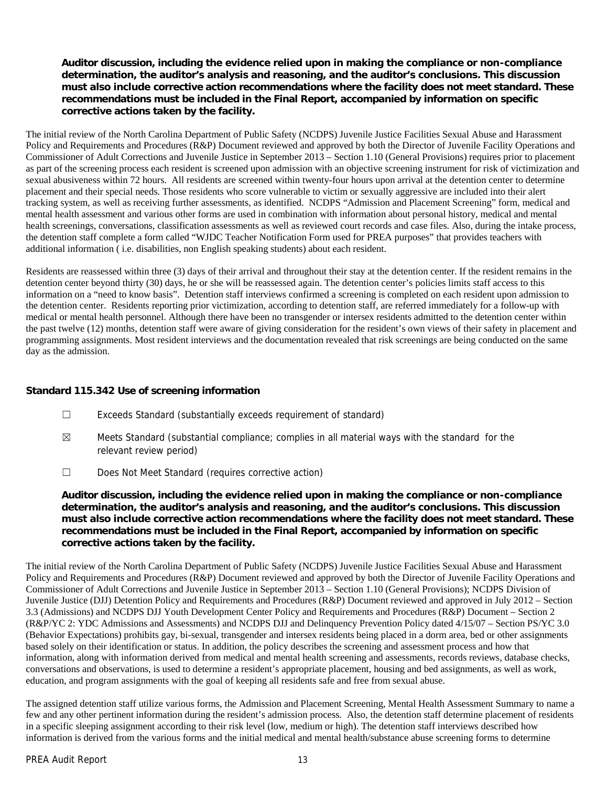**Auditor discussion, including the evidence relied upon in making the compliance or non-compliance determination, the auditor's analysis and reasoning, and the auditor's conclusions. This discussion must also include corrective action recommendations where the facility does not meet standard. These recommendations must be included in the Final Report, accompanied by information on specific corrective actions taken by the facility.**

The initial review of the North Carolina Department of Public Safety (NCDPS) Juvenile Justice Facilities Sexual Abuse and Harassment Policy and Requirements and Procedures (R&P) Document reviewed and approved by both the Director of Juvenile Facility Operations and Commissioner of Adult Corrections and Juvenile Justice in September 2013 – Section 1.10 (General Provisions) requires prior to placement as part of the screening process each resident is screened upon admission with an objective screening instrument for risk of victimization and sexual abusiveness within 72 hours. All residents are screened within twenty-four hours upon arrival at the detention center to determine placement and their special needs. Those residents who score vulnerable to victim or sexually aggressive are included into their alert tracking system, as well as receiving further assessments, as identified. NCDPS "Admission and Placement Screening" form, medical and mental health assessment and various other forms are used in combination with information about personal history, medical and mental health screenings, conversations, classification assessments as well as reviewed court records and case files. Also, during the intake process, the detention staff complete a form called "WJDC Teacher Notification Form used for PREA purposes" that provides teachers with additional information ( i.e. disabilities, non English speaking students) about each resident.

Residents are reassessed within three (3) days of their arrival and throughout their stay at the detention center. If the resident remains in the detention center beyond thirty (30) days, he or she will be reassessed again. The detention center's policies limits staff access to this information on a "need to know basis". Detention staff interviews confirmed a screening is completed on each resident upon admission to the detention center. Residents reporting prior victimization, according to detention staff, are referred immediately for a follow-up with medical or mental health personnel. Although there have been no transgender or intersex residents admitted to the detention center within the past twelve (12) months, detention staff were aware of giving consideration for the resident's own views of their safety in placement and programming assignments. Most resident interviews and the documentation revealed that risk screenings are being conducted on the same day as the admission.

## **Standard 115.342 Use of screening information**

- ☐ Exceeds Standard (substantially exceeds requirement of standard)
- $\boxtimes$  Meets Standard (substantial compliance; complies in all material ways with the standard for the relevant review period)
- ☐ Does Not Meet Standard (requires corrective action)

**Auditor discussion, including the evidence relied upon in making the compliance or non-compliance determination, the auditor's analysis and reasoning, and the auditor's conclusions. This discussion must also include corrective action recommendations where the facility does not meet standard. These recommendations must be included in the Final Report, accompanied by information on specific corrective actions taken by the facility.**

The initial review of the North Carolina Department of Public Safety (NCDPS) Juvenile Justice Facilities Sexual Abuse and Harassment Policy and Requirements and Procedures (R&P) Document reviewed and approved by both the Director of Juvenile Facility Operations and Commissioner of Adult Corrections and Juvenile Justice in September 2013 – Section 1.10 (General Provisions); NCDPS Division of Juvenile Justice (DJJ) Detention Policy and Requirements and Procedures (R&P) Document reviewed and approved in July 2012 – Section 3.3 (Admissions) and NCDPS DJJ Youth Development Center Policy and Requirements and Procedures (R&P) Document – Section 2 (R&P/YC 2: YDC Admissions and Assessments) and NCDPS DJJ and Delinquency Prevention Policy dated 4/15/07 – Section PS/YC 3.0 (Behavior Expectations) prohibits gay, bi-sexual, transgender and intersex residents being placed in a dorm area, bed or other assignments based solely on their identification or status. In addition, the policy describes the screening and assessment process and how that information, along with information derived from medical and mental health screening and assessments, records reviews, database checks, conversations and observations, is used to determine a resident's appropriate placement, housing and bed assignments, as well as work, education, and program assignments with the goal of keeping all residents safe and free from sexual abuse.

The assigned detention staff utilize various forms, the Admission and Placement Screening, Mental Health Assessment Summary to name a few and any other pertinent information during the resident's admission process. Also, the detention staff determine placement of residents in a specific sleeping assignment according to their risk level (low, medium or high). The detention staff interviews described how information is derived from the various forms and the initial medical and mental health/substance abuse screening forms to determine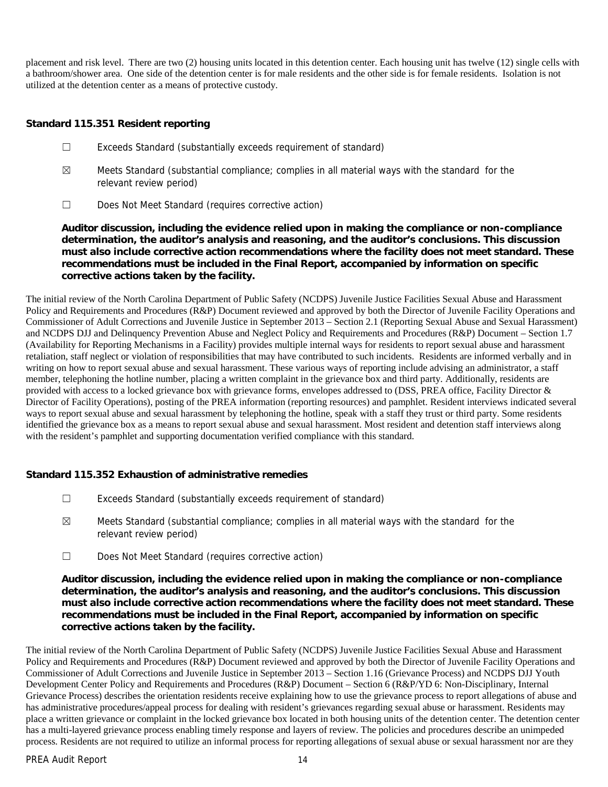placement and risk level. There are two (2) housing units located in this detention center. Each housing unit has twelve (12) single cells with a bathroom/shower area. One side of the detention center is for male residents and the other side is for female residents. Isolation is not utilized at the detention center as a means of protective custody.

**Standard 115.351 Resident reporting**

- ☐ Exceeds Standard (substantially exceeds requirement of standard)
- $\boxtimes$  Meets Standard (substantial compliance; complies in all material ways with the standard for the relevant review period)
- ☐ Does Not Meet Standard (requires corrective action)

**Auditor discussion, including the evidence relied upon in making the compliance or non-compliance determination, the auditor's analysis and reasoning, and the auditor's conclusions. This discussion must also include corrective action recommendations where the facility does not meet standard. These recommendations must be included in the Final Report, accompanied by information on specific corrective actions taken by the facility.**

The initial review of the North Carolina Department of Public Safety (NCDPS) Juvenile Justice Facilities Sexual Abuse and Harassment Policy and Requirements and Procedures (R&P) Document reviewed and approved by both the Director of Juvenile Facility Operations and Commissioner of Adult Corrections and Juvenile Justice in September 2013 – Section 2.1 (Reporting Sexual Abuse and Sexual Harassment) and NCDPS DJJ and Delinquency Prevention Abuse and Neglect Policy and Requirements and Procedures (R&P) Document – Section 1.7 (Availability for Reporting Mechanisms in a Facility) provides multiple internal ways for residents to report sexual abuse and harassment retaliation, staff neglect or violation of responsibilities that may have contributed to such incidents. Residents are informed verbally and in writing on how to report sexual abuse and sexual harassment. These various ways of reporting include advising an administrator, a staff member, telephoning the hotline number, placing a written complaint in the grievance box and third party. Additionally, residents are provided with access to a locked grievance box with grievance forms, envelopes addressed to (DSS, PREA office, Facility Director & Director of Facility Operations), posting of the PREA information (reporting resources) and pamphlet. Resident interviews indicated several ways to report sexual abuse and sexual harassment by telephoning the hotline, speak with a staff they trust or third party. Some residents identified the grievance box as a means to report sexual abuse and sexual harassment. Most resident and detention staff interviews along with the resident's pamphlet and supporting documentation verified compliance with this standard.

**Standard 115.352 Exhaustion of administrative remedies**

- ☐ Exceeds Standard (substantially exceeds requirement of standard)
- $\boxtimes$  Meets Standard (substantial compliance; complies in all material ways with the standard for the relevant review period)
- ☐ Does Not Meet Standard (requires corrective action)

**Auditor discussion, including the evidence relied upon in making the compliance or non-compliance determination, the auditor's analysis and reasoning, and the auditor's conclusions. This discussion must also include corrective action recommendations where the facility does not meet standard. These recommendations must be included in the Final Report, accompanied by information on specific corrective actions taken by the facility.**

The initial review of the North Carolina Department of Public Safety (NCDPS) Juvenile Justice Facilities Sexual Abuse and Harassment Policy and Requirements and Procedures (R&P) Document reviewed and approved by both the Director of Juvenile Facility Operations and Commissioner of Adult Corrections and Juvenile Justice in September 2013 – Section 1.16 (Grievance Process) and NCDPS DJJ Youth Development Center Policy and Requirements and Procedures (R&P) Document – Section 6 (R&P/YD 6: Non-Disciplinary, Internal Grievance Process) describes the orientation residents receive explaining how to use the grievance process to report allegations of abuse and has administrative procedures/appeal process for dealing with resident's grievances regarding sexual abuse or harassment. Residents may place a written grievance or complaint in the locked grievance box located in both housing units of the detention center. The detention center has a multi-layered grievance process enabling timely response and layers of review. The policies and procedures describe an unimpeded process. Residents are not required to utilize an informal process for reporting allegations of sexual abuse or sexual harassment nor are they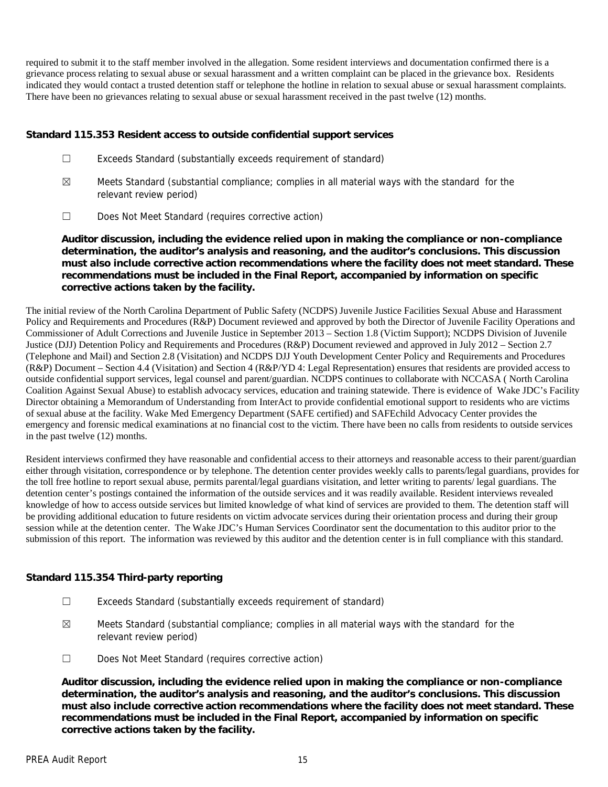required to submit it to the staff member involved in the allegation. Some resident interviews and documentation confirmed there is a grievance process relating to sexual abuse or sexual harassment and a written complaint can be placed in the grievance box. Residents indicated they would contact a trusted detention staff or telephone the hotline in relation to sexual abuse or sexual harassment complaints. There have been no grievances relating to sexual abuse or sexual harassment received in the past twelve (12) months.

**Standard 115.353 Resident access to outside confidential support services**

- ☐ Exceeds Standard (substantially exceeds requirement of standard)
- $\boxtimes$  Meets Standard (substantial compliance; complies in all material ways with the standard for the relevant review period)
- ☐ Does Not Meet Standard (requires corrective action)

**Auditor discussion, including the evidence relied upon in making the compliance or non-compliance determination, the auditor's analysis and reasoning, and the auditor's conclusions. This discussion must also include corrective action recommendations where the facility does not meet standard. These recommendations must be included in the Final Report, accompanied by information on specific corrective actions taken by the facility.**

The initial review of the North Carolina Department of Public Safety (NCDPS) Juvenile Justice Facilities Sexual Abuse and Harassment Policy and Requirements and Procedures (R&P) Document reviewed and approved by both the Director of Juvenile Facility Operations and Commissioner of Adult Corrections and Juvenile Justice in September 2013 – Section 1.8 (Victim Support); NCDPS Division of Juvenile Justice (DJJ) Detention Policy and Requirements and Procedures (R&P) Document reviewed and approved in July 2012 – Section 2.7 (Telephone and Mail) and Section 2.8 (Visitation) and NCDPS DJJ Youth Development Center Policy and Requirements and Procedures (R&P) Document – Section 4.4 (Visitation) and Section 4 (R&P/YD 4: Legal Representation) ensures that residents are provided access to outside confidential support services, legal counsel and parent/guardian. NCDPS continues to collaborate with NCCASA ( North Carolina Coalition Against Sexual Abuse) to establish advocacy services, education and training statewide. There is evidence of Wake JDC's Facility Director obtaining a Memorandum of Understanding from InterAct to provide confidential emotional support to residents who are victims of sexual abuse at the facility. Wake Med Emergency Department (SAFE certified) and SAFEchild Advocacy Center provides the emergency and forensic medical examinations at no financial cost to the victim. There have been no calls from residents to outside services in the past twelve (12) months.

Resident interviews confirmed they have reasonable and confidential access to their attorneys and reasonable access to their parent/guardian either through visitation, correspondence or by telephone. The detention center provides weekly calls to parents/legal guardians, provides for the toll free hotline to report sexual abuse, permits parental/legal guardians visitation, and letter writing to parents/ legal guardians. The detention center's postings contained the information of the outside services and it was readily available. Resident interviews revealed knowledge of how to access outside services but limited knowledge of what kind of services are provided to them. The detention staff will be providing additional education to future residents on victim advocate services during their orientation process and during their group session while at the detention center. The Wake JDC's Human Services Coordinator sent the documentation to this auditor prior to the submission of this report. The information was reviewed by this auditor and the detention center is in full compliance with this standard.

# **Standard 115.354 Third-party reporting**

- ☐ Exceeds Standard (substantially exceeds requirement of standard)
- $\boxtimes$  Meets Standard (substantial compliance; complies in all material ways with the standard for the relevant review period)
- ☐ Does Not Meet Standard (requires corrective action)

**Auditor discussion, including the evidence relied upon in making the compliance or non-compliance determination, the auditor's analysis and reasoning, and the auditor's conclusions. This discussion must also include corrective action recommendations where the facility does not meet standard. These recommendations must be included in the Final Report, accompanied by information on specific corrective actions taken by the facility.**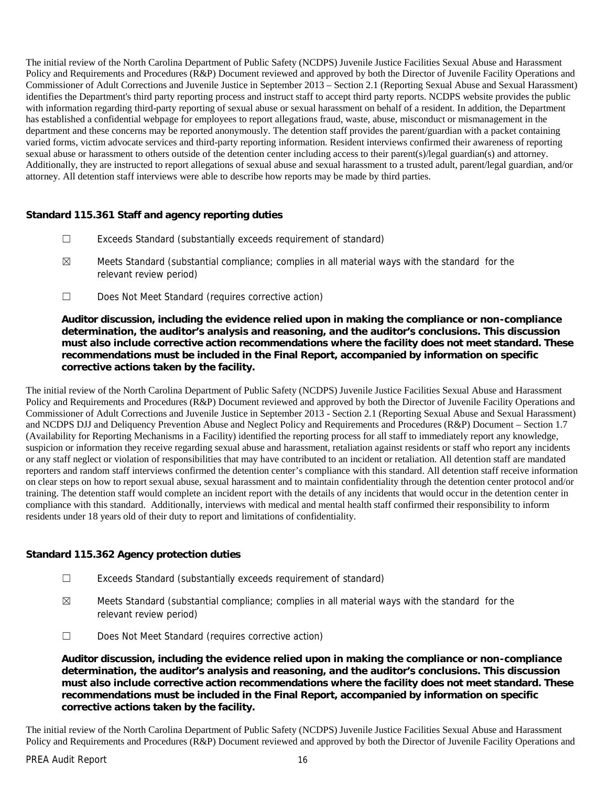The initial review of the North Carolina Department of Public Safety (NCDPS) Juvenile Justice Facilities Sexual Abuse and Harassment Policy and Requirements and Procedures (R&P) Document reviewed and approved by both the Director of Juvenile Facility Operations and Commissioner of Adult Corrections and Juvenile Justice in September 2013 – Section 2.1 (Reporting Sexual Abuse and Sexual Harassment) identifies the Department's third party reporting process and instruct staff to accept third party reports. NCDPS website provides the public with information regarding third-party reporting of sexual abuse or sexual harassment on behalf of a resident. In addition, the Department has established a confidential webpage for employees to report allegations fraud, waste, abuse, misconduct or mismanagement in the department and these concerns may be reported anonymously. The detention staff provides the parent/guardian with a packet containing varied forms, victim advocate services and third-party reporting information. Resident interviews confirmed their awareness of reporting sexual abuse or harassment to others outside of the detention center including access to their parent(s)/legal guardian(s) and attorney. Additionally, they are instructed to report allegations of sexual abuse and sexual harassment to a trusted adult, parent/legal guardian, and/or attorney. All detention staff interviews were able to describe how reports may be made by third parties.

**Standard 115.361 Staff and agency reporting duties**

- ☐ Exceeds Standard (substantially exceeds requirement of standard)
- $\boxtimes$  Meets Standard (substantial compliance; complies in all material ways with the standard for the relevant review period)
- ☐ Does Not Meet Standard (requires corrective action)

**Auditor discussion, including the evidence relied upon in making the compliance or non-compliance determination, the auditor's analysis and reasoning, and the auditor's conclusions. This discussion must also include corrective action recommendations where the facility does not meet standard. These recommendations must be included in the Final Report, accompanied by information on specific corrective actions taken by the facility.**

The initial review of the North Carolina Department of Public Safety (NCDPS) Juvenile Justice Facilities Sexual Abuse and Harassment Policy and Requirements and Procedures (R&P) Document reviewed and approved by both the Director of Juvenile Facility Operations and Commissioner of Adult Corrections and Juvenile Justice in September 2013 - Section 2.1 (Reporting Sexual Abuse and Sexual Harassment) and NCDPS DJJ and Deliquency Prevention Abuse and Neglect Policy and Requirements and Procedures (R&P) Document – Section 1.7 (Availability for Reporting Mechanisms in a Facility) identified the reporting process for all staff to immediately report any knowledge, suspicion or information they receive regarding sexual abuse and harassment, retaliation against residents or staff who report any incidents or any staff neglect or violation of responsibilities that may have contributed to an incident or retaliation. All detention staff are mandated reporters and random staff interviews confirmed the detention center's compliance with this standard. All detention staff receive information on clear steps on how to report sexual abuse, sexual harassment and to maintain confidentiality through the detention center protocol and/or training. The detention staff would complete an incident report with the details of any incidents that would occur in the detention center in compliance with this standard. Additionally, interviews with medical and mental health staff confirmed their responsibility to inform residents under 18 years old of their duty to report and limitations of confidentiality.

#### **Standard 115.362 Agency protection duties**

- ☐ Exceeds Standard (substantially exceeds requirement of standard)
- ☒ Meets Standard (substantial compliance; complies in all material ways with the standard for the relevant review period)
- ☐ Does Not Meet Standard (requires corrective action)

**Auditor discussion, including the evidence relied upon in making the compliance or non-compliance determination, the auditor's analysis and reasoning, and the auditor's conclusions. This discussion must also include corrective action recommendations where the facility does not meet standard. These recommendations must be included in the Final Report, accompanied by information on specific corrective actions taken by the facility.**

The initial review of the North Carolina Department of Public Safety (NCDPS) Juvenile Justice Facilities Sexual Abuse and Harassment Policy and Requirements and Procedures (R&P) Document reviewed and approved by both the Director of Juvenile Facility Operations and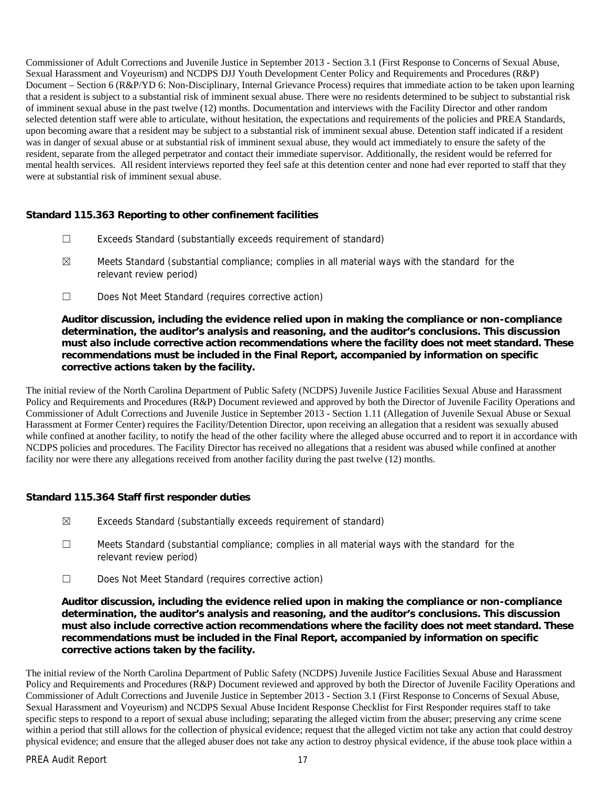Commissioner of Adult Corrections and Juvenile Justice in September 2013 - Section 3.1 (First Response to Concerns of Sexual Abuse, Sexual Harassment and Voyeurism) and NCDPS DJJ Youth Development Center Policy and Requirements and Procedures (R&P) Document – Section 6 (R&P/YD 6: Non-Disciplinary, Internal Grievance Process) requires that immediate action to be taken upon learning that a resident is subject to a substantial risk of imminent sexual abuse. There were no residents determined to be subject to substantial risk of imminent sexual abuse in the past twelve (12) months. Documentation and interviews with the Facility Director and other random selected detention staff were able to articulate, without hesitation, the expectations and requirements of the policies and PREA Standards, upon becoming aware that a resident may be subject to a substantial risk of imminent sexual abuse. Detention staff indicated if a resident was in danger of sexual abuse or at substantial risk of imminent sexual abuse, they would act immediately to ensure the safety of the resident, separate from the alleged perpetrator and contact their immediate supervisor. Additionally, the resident would be referred for mental health services. All resident interviews reported they feel safe at this detention center and none had ever reported to staff that they were at substantial risk of imminent sexual abuse.

**Standard 115.363 Reporting to other confinement facilities**

- ☐ Exceeds Standard (substantially exceeds requirement of standard)
- $\boxtimes$  Meets Standard (substantial compliance; complies in all material ways with the standard for the relevant review period)
- ☐ Does Not Meet Standard (requires corrective action)

**Auditor discussion, including the evidence relied upon in making the compliance or non-compliance determination, the auditor's analysis and reasoning, and the auditor's conclusions. This discussion must also include corrective action recommendations where the facility does not meet standard. These recommendations must be included in the Final Report, accompanied by information on specific corrective actions taken by the facility.**

The initial review of the North Carolina Department of Public Safety (NCDPS) Juvenile Justice Facilities Sexual Abuse and Harassment Policy and Requirements and Procedures (R&P) Document reviewed and approved by both the Director of Juvenile Facility Operations and Commissioner of Adult Corrections and Juvenile Justice in September 2013 - Section 1.11 (Allegation of Juvenile Sexual Abuse or Sexual Harassment at Former Center) requires the Facility/Detention Director, upon receiving an allegation that a resident was sexually abused while confined at another facility, to notify the head of the other facility where the alleged abuse occurred and to report it in accordance with NCDPS policies and procedures. The Facility Director has received no allegations that a resident was abused while confined at another facility nor were there any allegations received from another facility during the past twelve (12) months.

**Standard 115.364 Staff first responder duties**

- ☒ Exceeds Standard (substantially exceeds requirement of standard)
- ☐ Meets Standard (substantial compliance; complies in all material ways with the standard for the relevant review period)
- ☐ Does Not Meet Standard (requires corrective action)

**Auditor discussion, including the evidence relied upon in making the compliance or non-compliance determination, the auditor's analysis and reasoning, and the auditor's conclusions. This discussion must also include corrective action recommendations where the facility does not meet standard. These recommendations must be included in the Final Report, accompanied by information on specific corrective actions taken by the facility.**

The initial review of the North Carolina Department of Public Safety (NCDPS) Juvenile Justice Facilities Sexual Abuse and Harassment Policy and Requirements and Procedures (R&P) Document reviewed and approved by both the Director of Juvenile Facility Operations and Commissioner of Adult Corrections and Juvenile Justice in September 2013 - Section 3.1 (First Response to Concerns of Sexual Abuse, Sexual Harassment and Voyeurism) and NCDPS Sexual Abuse Incident Response Checklist for First Responder requires staff to take specific steps to respond to a report of sexual abuse including; separating the alleged victim from the abuser; preserving any crime scene within a period that still allows for the collection of physical evidence; request that the alleged victim not take any action that could destroy physical evidence; and ensure that the alleged abuser does not take any action to destroy physical evidence, if the abuse took place within a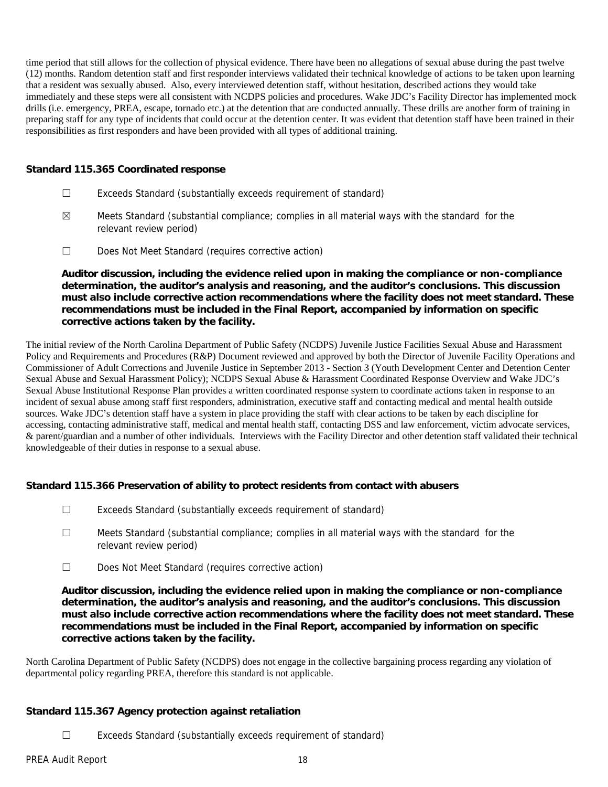time period that still allows for the collection of physical evidence. There have been no allegations of sexual abuse during the past twelve (12) months. Random detention staff and first responder interviews validated their technical knowledge of actions to be taken upon learning that a resident was sexually abused. Also, every interviewed detention staff, without hesitation, described actions they would take immediately and these steps were all consistent with NCDPS policies and procedures. Wake JDC's Facility Director has implemented mock drills (i.e. emergency, PREA, escape, tornado etc.) at the detention that are conducted annually. These drills are another form of training in preparing staff for any type of incidents that could occur at the detention center. It was evident that detention staff have been trained in their responsibilities as first responders and have been provided with all types of additional training.

#### **Standard 115.365 Coordinated response**

- ☐ Exceeds Standard (substantially exceeds requirement of standard)
- $\boxtimes$  Meets Standard (substantial compliance; complies in all material ways with the standard for the relevant review period)
- ☐ Does Not Meet Standard (requires corrective action)

**Auditor discussion, including the evidence relied upon in making the compliance or non-compliance determination, the auditor's analysis and reasoning, and the auditor's conclusions. This discussion must also include corrective action recommendations where the facility does not meet standard. These recommendations must be included in the Final Report, accompanied by information on specific corrective actions taken by the facility.**

The initial review of the North Carolina Department of Public Safety (NCDPS) Juvenile Justice Facilities Sexual Abuse and Harassment Policy and Requirements and Procedures (R&P) Document reviewed and approved by both the Director of Juvenile Facility Operations and Commissioner of Adult Corrections and Juvenile Justice in September 2013 - Section 3 (Youth Development Center and Detention Center Sexual Abuse and Sexual Harassment Policy); NCDPS Sexual Abuse & Harassment Coordinated Response Overview and Wake JDC's Sexual Abuse Institutional Response Plan provides a written coordinated response system to coordinate actions taken in response to an incident of sexual abuse among staff first responders, administration, executive staff and contacting medical and mental health outside sources. Wake JDC's detention staff have a system in place providing the staff with clear actions to be taken by each discipline for accessing, contacting administrative staff, medical and mental health staff, contacting DSS and law enforcement, victim advocate services, & parent/guardian and a number of other individuals. Interviews with the Facility Director and other detention staff validated their technical knowledgeable of their duties in response to a sexual abuse.

**Standard 115.366 Preservation of ability to protect residents from contact with abusers**

- ☐ Exceeds Standard (substantially exceeds requirement of standard)
- ☐ Meets Standard (substantial compliance; complies in all material ways with the standard for the relevant review period)
- ☐ Does Not Meet Standard (requires corrective action)

**Auditor discussion, including the evidence relied upon in making the compliance or non-compliance determination, the auditor's analysis and reasoning, and the auditor's conclusions. This discussion must also include corrective action recommendations where the facility does not meet standard. These recommendations must be included in the Final Report, accompanied by information on specific corrective actions taken by the facility.**

North Carolina Department of Public Safety (NCDPS) does not engage in the collective bargaining process regarding any violation of departmental policy regarding PREA, therefore this standard is not applicable.

**Standard 115.367 Agency protection against retaliation**

☐ Exceeds Standard (substantially exceeds requirement of standard)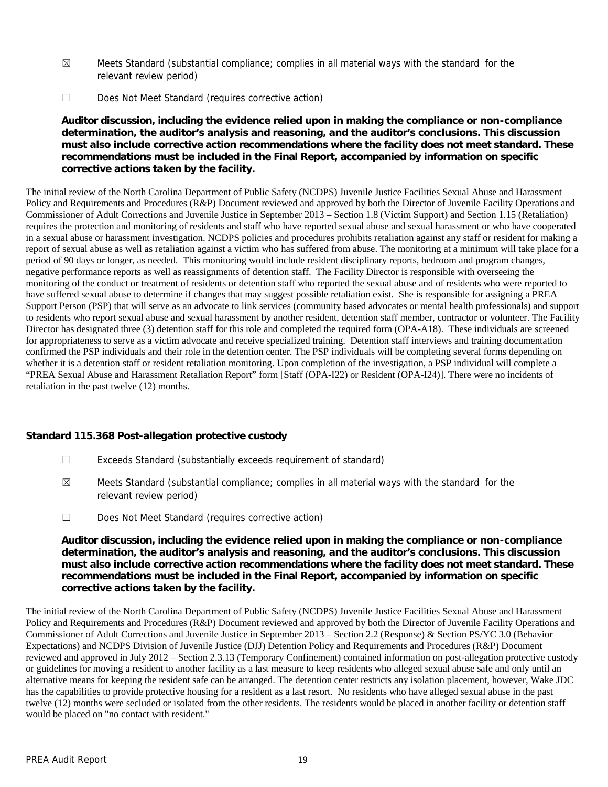- $\boxtimes$  Meets Standard (substantial compliance; complies in all material ways with the standard for the relevant review period)
- ☐ Does Not Meet Standard (requires corrective action)

**Auditor discussion, including the evidence relied upon in making the compliance or non-compliance determination, the auditor's analysis and reasoning, and the auditor's conclusions. This discussion must also include corrective action recommendations where the facility does not meet standard. These recommendations must be included in the Final Report, accompanied by information on specific corrective actions taken by the facility.**

The initial review of the North Carolina Department of Public Safety (NCDPS) Juvenile Justice Facilities Sexual Abuse and Harassment Policy and Requirements and Procedures (R&P) Document reviewed and approved by both the Director of Juvenile Facility Operations and Commissioner of Adult Corrections and Juvenile Justice in September 2013 – Section 1.8 (Victim Support) and Section 1.15 (Retaliation) requires the protection and monitoring of residents and staff who have reported sexual abuse and sexual harassment or who have cooperated in a sexual abuse or harassment investigation. NCDPS policies and procedures prohibits retaliation against any staff or resident for making a report of sexual abuse as well as retaliation against a victim who has suffered from abuse. The monitoring at a minimum will take place for a period of 90 days or longer, as needed. This monitoring would include resident disciplinary reports, bedroom and program changes, negative performance reports as well as reassignments of detention staff. The Facility Director is responsible with overseeing the monitoring of the conduct or treatment of residents or detention staff who reported the sexual abuse and of residents who were reported to have suffered sexual abuse to determine if changes that may suggest possible retaliation exist. She is responsible for assigning a PREA Support Person (PSP) that will serve as an advocate to link services (community based advocates or mental health professionals) and support to residents who report sexual abuse and sexual harassment by another resident, detention staff member, contractor or volunteer. The Facility Director has designated three (3) detention staff for this role and completed the required form (OPA-A18). These individuals are screened for appropriateness to serve as a victim advocate and receive specialized training. Detention staff interviews and training documentation confirmed the PSP individuals and their role in the detention center. The PSP individuals will be completing several forms depending on whether it is a detention staff or resident retaliation monitoring. Upon completion of the investigation, a PSP individual will complete a "PREA Sexual Abuse and Harassment Retaliation Report" form [Staff (OPA-I22) or Resident (OPA-I24)]. There were no incidents of retaliation in the past twelve (12) months.

**Standard 115.368 Post-allegation protective custody**

- ☐ Exceeds Standard (substantially exceeds requirement of standard)
- $\boxtimes$  Meets Standard (substantial compliance; complies in all material ways with the standard for the relevant review period)
- ☐ Does Not Meet Standard (requires corrective action)

**Auditor discussion, including the evidence relied upon in making the compliance or non-compliance determination, the auditor's analysis and reasoning, and the auditor's conclusions. This discussion must also include corrective action recommendations where the facility does not meet standard. These recommendations must be included in the Final Report, accompanied by information on specific corrective actions taken by the facility.**

The initial review of the North Carolina Department of Public Safety (NCDPS) Juvenile Justice Facilities Sexual Abuse and Harassment Policy and Requirements and Procedures (R&P) Document reviewed and approved by both the Director of Juvenile Facility Operations and Commissioner of Adult Corrections and Juvenile Justice in September 2013 – Section 2.2 (Response) & Section PS/YC 3.0 (Behavior Expectations) and NCDPS Division of Juvenile Justice (DJJ) Detention Policy and Requirements and Procedures (R&P) Document reviewed and approved in July 2012 – Section 2.3.13 (Temporary Confinement) contained information on post-allegation protective custody or guidelines for moving a resident to another facility as a last measure to keep residents who alleged sexual abuse safe and only until an alternative means for keeping the resident safe can be arranged. The detention center restricts any isolation placement, however, Wake JDC has the capabilities to provide protective housing for a resident as a last resort. No residents who have alleged sexual abuse in the past twelve (12) months were secluded or isolated from the other residents. The residents would be placed in another facility or detention staff would be placed on "no contact with resident."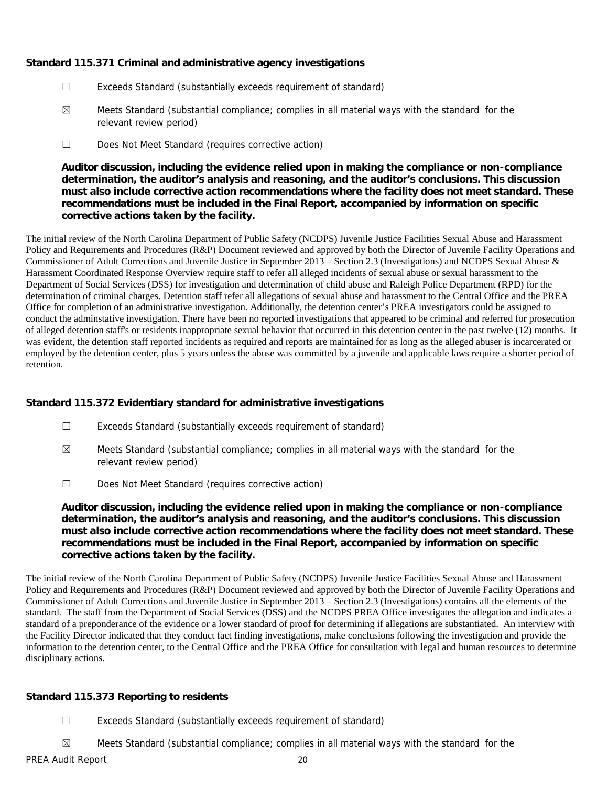**Standard 115.371 Criminal and administrative agency investigations**

- ☐ Exceeds Standard (substantially exceeds requirement of standard)
- $\boxtimes$  Meets Standard (substantial compliance; complies in all material ways with the standard for the relevant review period)
- ☐ Does Not Meet Standard (requires corrective action)

**Auditor discussion, including the evidence relied upon in making the compliance or non-compliance determination, the auditor's analysis and reasoning, and the auditor's conclusions. This discussion must also include corrective action recommendations where the facility does not meet standard. These recommendations must be included in the Final Report, accompanied by information on specific corrective actions taken by the facility.**

The initial review of the North Carolina Department of Public Safety (NCDPS) Juvenile Justice Facilities Sexual Abuse and Harassment Policy and Requirements and Procedures (R&P) Document reviewed and approved by both the Director of Juvenile Facility Operations and Commissioner of Adult Corrections and Juvenile Justice in September 2013 – Section 2.3 (Investigations) and NCDPS Sexual Abuse & Harassment Coordinated Response Overview require staff to refer all alleged incidents of sexual abuse or sexual harassment to the Department of Social Services (DSS) for investigation and determination of child abuse and Raleigh Police Department (RPD) for the determination of criminal charges. Detention staff refer all allegations of sexual abuse and harassment to the Central Office and the PREA Office for completion of an administrative investigation. Additionally, the detention center's PREA investigators could be assigned to conduct the adminstative investigation. There have been no reported investigations that appeared to be criminal and referred for prosecution of alleged detention staff's or residents inappropriate sexual behavior that occurred in this detention center in the past twelve (12) months. It was evident, the detention staff reported incidents as required and reports are maintained for as long as the alleged abuser is incarcerated or employed by the detention center, plus 5 years unless the abuse was committed by a juvenile and applicable laws require a shorter period of retention.

**Standard 115.372 Evidentiary standard for administrative investigations**

- ☐ Exceeds Standard (substantially exceeds requirement of standard)
- $\boxtimes$  Meets Standard (substantial compliance; complies in all material ways with the standard for the relevant review period)
- ☐ Does Not Meet Standard (requires corrective action)

**Auditor discussion, including the evidence relied upon in making the compliance or non-compliance determination, the auditor's analysis and reasoning, and the auditor's conclusions. This discussion must also include corrective action recommendations where the facility does not meet standard. These recommendations must be included in the Final Report, accompanied by information on specific corrective actions taken by the facility.**

The initial review of the North Carolina Department of Public Safety (NCDPS) Juvenile Justice Facilities Sexual Abuse and Harassment Policy and Requirements and Procedures (R&P) Document reviewed and approved by both the Director of Juvenile Facility Operations and Commissioner of Adult Corrections and Juvenile Justice in September 2013 – Section 2.3 (Investigations) contains all the elements of the standard. The staff from the Department of Social Services (DSS) and the NCDPS PREA Office investigates the allegation and indicates a standard of a preponderance of the evidence or a lower standard of proof for determining if allegations are substantiated. An interview with the Facility Director indicated that they conduct fact finding investigations, make conclusions following the investigation and provide the information to the detention center, to the Central Office and the PREA Office for consultation with legal and human resources to determine disciplinary actions.

## **Standard 115.373 Reporting to residents**

- ☐ Exceeds Standard (substantially exceeds requirement of standard)
- ☒ Meets Standard (substantial compliance; complies in all material ways with the standard for the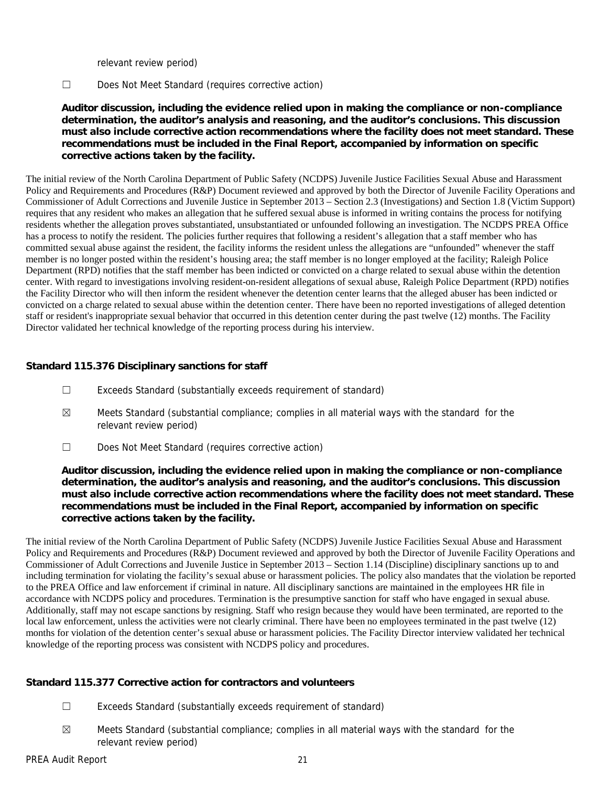relevant review period)

☐ Does Not Meet Standard (requires corrective action)

**Auditor discussion, including the evidence relied upon in making the compliance or non-compliance determination, the auditor's analysis and reasoning, and the auditor's conclusions. This discussion must also include corrective action recommendations where the facility does not meet standard. These recommendations must be included in the Final Report, accompanied by information on specific corrective actions taken by the facility.**

The initial review of the North Carolina Department of Public Safety (NCDPS) Juvenile Justice Facilities Sexual Abuse and Harassment Policy and Requirements and Procedures (R&P) Document reviewed and approved by both the Director of Juvenile Facility Operations and Commissioner of Adult Corrections and Juvenile Justice in September 2013 – Section 2.3 (Investigations) and Section 1.8 (Victim Support) requires that any resident who makes an allegation that he suffered sexual abuse is informed in writing contains the process for notifying residents whether the allegation proves substantiated, unsubstantiated or unfounded following an investigation. The NCDPS PREA Office has a process to notify the resident. The policies further requires that following a resident's allegation that a staff member who has committed sexual abuse against the resident, the facility informs the resident unless the allegations are "unfounded" whenever the staff member is no longer posted within the resident's housing area; the staff member is no longer employed at the facility; Raleigh Police Department (RPD) notifies that the staff member has been indicted or convicted on a charge related to sexual abuse within the detention center. With regard to investigations involving resident-on-resident allegations of sexual abuse, Raleigh Police Department (RPD) notifies the Facility Director who will then inform the resident whenever the detention center learns that the alleged abuser has been indicted or convicted on a charge related to sexual abuse within the detention center. There have been no reported investigations of alleged detention staff or resident's inappropriate sexual behavior that occurred in this detention center during the past twelve (12) months. The Facility Director validated her technical knowledge of the reporting process during his interview.

# **Standard 115.376 Disciplinary sanctions for staff**

- ☐ Exceeds Standard (substantially exceeds requirement of standard)
- $\boxtimes$  Meets Standard (substantial compliance; complies in all material ways with the standard for the relevant review period)
- ☐ Does Not Meet Standard (requires corrective action)

**Auditor discussion, including the evidence relied upon in making the compliance or non-compliance determination, the auditor's analysis and reasoning, and the auditor's conclusions. This discussion must also include corrective action recommendations where the facility does not meet standard. These recommendations must be included in the Final Report, accompanied by information on specific corrective actions taken by the facility.**

The initial review of the North Carolina Department of Public Safety (NCDPS) Juvenile Justice Facilities Sexual Abuse and Harassment Policy and Requirements and Procedures (R&P) Document reviewed and approved by both the Director of Juvenile Facility Operations and Commissioner of Adult Corrections and Juvenile Justice in September 2013 – Section 1.14 (Discipline) disciplinary sanctions up to and including termination for violating the facility's sexual abuse or harassment policies. The policy also mandates that the violation be reported to the PREA Office and law enforcement if criminal in nature. All disciplinary sanctions are maintained in the employees HR file in accordance with NCDPS policy and procedures. Termination is the presumptive sanction for staff who have engaged in sexual abuse. Additionally, staff may not escape sanctions by resigning. Staff who resign because they would have been terminated, are reported to the local law enforcement, unless the activities were not clearly criminal. There have been no employees terminated in the past twelve (12) months for violation of the detention center's sexual abuse or harassment policies. The Facility Director interview validated her technical knowledge of the reporting process was consistent with NCDPS policy and procedures.

**Standard 115.377 Corrective action for contractors and volunteers**

- ☐ Exceeds Standard (substantially exceeds requirement of standard)
- $\boxtimes$  Meets Standard (substantial compliance; complies in all material ways with the standard for the relevant review period)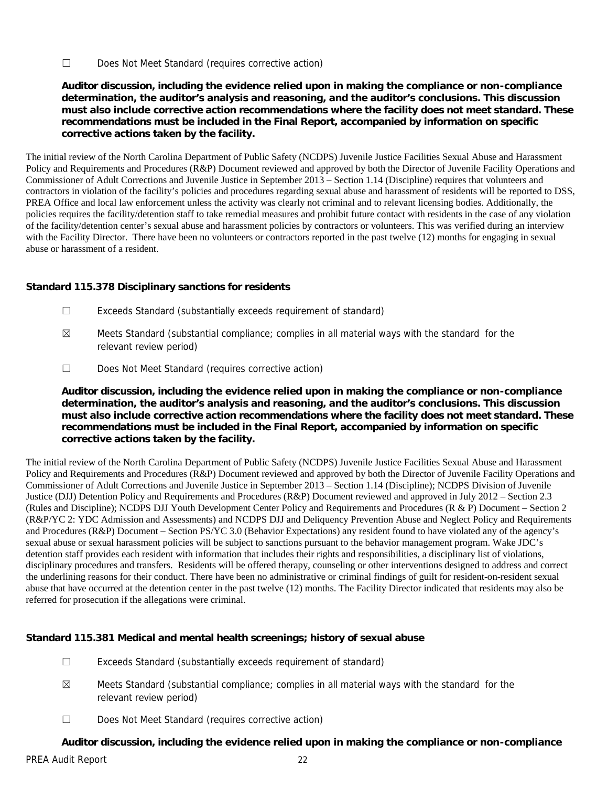☐ Does Not Meet Standard (requires corrective action)

**Auditor discussion, including the evidence relied upon in making the compliance or non-compliance determination, the auditor's analysis and reasoning, and the auditor's conclusions. This discussion must also include corrective action recommendations where the facility does not meet standard. These recommendations must be included in the Final Report, accompanied by information on specific corrective actions taken by the facility.**

The initial review of the North Carolina Department of Public Safety (NCDPS) Juvenile Justice Facilities Sexual Abuse and Harassment Policy and Requirements and Procedures (R&P) Document reviewed and approved by both the Director of Juvenile Facility Operations and Commissioner of Adult Corrections and Juvenile Justice in September 2013 – Section 1.14 (Discipline) requires that volunteers and contractors in violation of the facility's policies and procedures regarding sexual abuse and harassment of residents will be reported to DSS, PREA Office and local law enforcement unless the activity was clearly not criminal and to relevant licensing bodies. Additionally, the policies requires the facility/detention staff to take remedial measures and prohibit future contact with residents in the case of any violation of the facility/detention center's sexual abuse and harassment policies by contractors or volunteers. This was verified during an interview with the Facility Director. There have been no volunteers or contractors reported in the past twelve (12) months for engaging in sexual abuse or harassment of a resident.

**Standard 115.378 Disciplinary sanctions for residents**

- ☐ Exceeds Standard (substantially exceeds requirement of standard)
- $\boxtimes$  Meets Standard (substantial compliance; complies in all material ways with the standard for the relevant review period)
- ☐ Does Not Meet Standard (requires corrective action)

**Auditor discussion, including the evidence relied upon in making the compliance or non-compliance determination, the auditor's analysis and reasoning, and the auditor's conclusions. This discussion must also include corrective action recommendations where the facility does not meet standard. These recommendations must be included in the Final Report, accompanied by information on specific corrective actions taken by the facility.**

The initial review of the North Carolina Department of Public Safety (NCDPS) Juvenile Justice Facilities Sexual Abuse and Harassment Policy and Requirements and Procedures (R&P) Document reviewed and approved by both the Director of Juvenile Facility Operations and Commissioner of Adult Corrections and Juvenile Justice in September 2013 – Section 1.14 (Discipline); NCDPS Division of Juvenile Justice (DJJ) Detention Policy and Requirements and Procedures (R&P) Document reviewed and approved in July 2012 – Section 2.3 (Rules and Discipline); NCDPS DJJ Youth Development Center Policy and Requirements and Procedures (R & P) Document – Section 2 (R&P/YC 2: YDC Admission and Assessments) and NCDPS DJJ and Deliquency Prevention Abuse and Neglect Policy and Requirements and Procedures (R&P) Document – Section PS/YC 3.0 (Behavior Expectations) any resident found to have violated any of the agency's sexual abuse or sexual harassment policies will be subject to sanctions pursuant to the behavior management program. Wake JDC's detention staff provides each resident with information that includes their rights and responsibilities, a disciplinary list of violations, disciplinary procedures and transfers. Residents will be offered therapy, counseling or other interventions designed to address and correct the underlining reasons for their conduct. There have been no administrative or criminal findings of guilt for resident-on-resident sexual abuse that have occurred at the detention center in the past twelve (12) months. The Facility Director indicated that residents may also be referred for prosecution if the allegations were criminal.

**Standard 115.381 Medical and mental health screenings; history of sexual abuse**

- ☐ Exceeds Standard (substantially exceeds requirement of standard)
- $\boxtimes$  Meets Standard (substantial compliance; complies in all material ways with the standard for the relevant review period)
- ☐ Does Not Meet Standard (requires corrective action)

**Auditor discussion, including the evidence relied upon in making the compliance or non-compliance**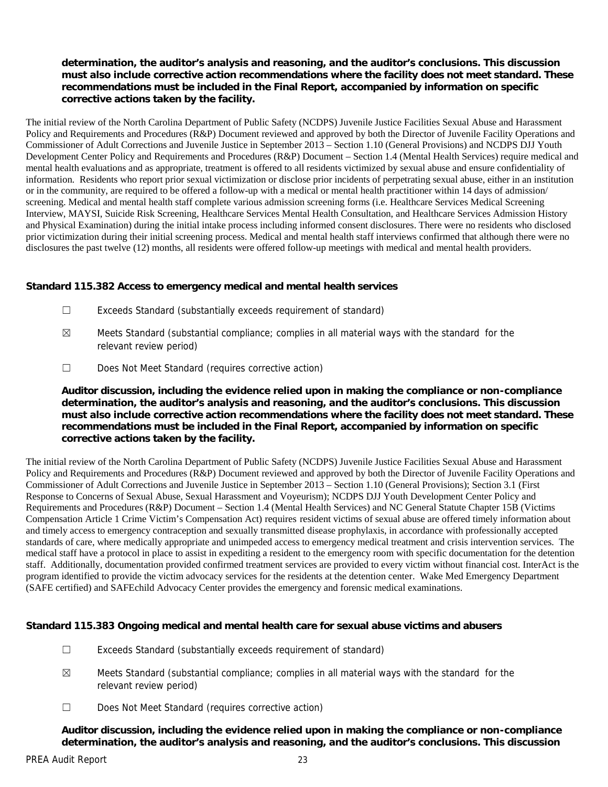**determination, the auditor's analysis and reasoning, and the auditor's conclusions. This discussion must also include corrective action recommendations where the facility does not meet standard. These recommendations must be included in the Final Report, accompanied by information on specific corrective actions taken by the facility.**

The initial review of the North Carolina Department of Public Safety (NCDPS) Juvenile Justice Facilities Sexual Abuse and Harassment Policy and Requirements and Procedures (R&P) Document reviewed and approved by both the Director of Juvenile Facility Operations and Commissioner of Adult Corrections and Juvenile Justice in September 2013 – Section 1.10 (General Provisions) and NCDPS DJJ Youth Development Center Policy and Requirements and Procedures (R&P) Document – Section 1.4 (Mental Health Services) require medical and mental health evaluations and as appropriate, treatment is offered to all residents victimized by sexual abuse and ensure confidentiality of information. Residents who report prior sexual victimization or disclose prior incidents of perpetrating sexual abuse, either in an institution or in the community, are required to be offered a follow-up with a medical or mental health practitioner within 14 days of admission/ screening. Medical and mental health staff complete various admission screening forms (i.e. Healthcare Services Medical Screening Interview, MAYSI, Suicide Risk Screening, Healthcare Services Mental Health Consultation, and Healthcare Services Admission History and Physical Examination) during the initial intake process including informed consent disclosures. There were no residents who disclosed prior victimization during their initial screening process. Medical and mental health staff interviews confirmed that although there were no disclosures the past twelve (12) months, all residents were offered follow-up meetings with medical and mental health providers.

**Standard 115.382 Access to emergency medical and mental health services**

- ☐ Exceeds Standard (substantially exceeds requirement of standard)
- $\boxtimes$  Meets Standard (substantial compliance; complies in all material ways with the standard for the relevant review period)
- ☐ Does Not Meet Standard (requires corrective action)

**Auditor discussion, including the evidence relied upon in making the compliance or non-compliance determination, the auditor's analysis and reasoning, and the auditor's conclusions. This discussion must also include corrective action recommendations where the facility does not meet standard. These recommendations must be included in the Final Report, accompanied by information on specific corrective actions taken by the facility.**

The initial review of the North Carolina Department of Public Safety (NCDPS) Juvenile Justice Facilities Sexual Abuse and Harassment Policy and Requirements and Procedures (R&P) Document reviewed and approved by both the Director of Juvenile Facility Operations and Commissioner of Adult Corrections and Juvenile Justice in September 2013 – Section 1.10 (General Provisions); Section 3.1 (First Response to Concerns of Sexual Abuse, Sexual Harassment and Voyeurism); NCDPS DJJ Youth Development Center Policy and Requirements and Procedures (R&P) Document – Section 1.4 (Mental Health Services) and NC General Statute Chapter 15B (Victims Compensation Article 1 Crime Victim's Compensation Act) requires resident victims of sexual abuse are offered timely information about and timely access to emergency contraception and sexually transmitted disease prophylaxis, in accordance with professionally accepted standards of care, where medically appropriate and unimpeded access to emergency medical treatment and crisis intervention services. The medical staff have a protocol in place to assist in expediting a resident to the emergency room with specific documentation for the detention staff. Additionally, documentation provided confirmed treatment services are provided to every victim without financial cost. InterAct is the program identified to provide the victim advocacy services for the residents at the detention center. Wake Med Emergency Department (SAFE certified) and SAFEchild Advocacy Center provides the emergency and forensic medical examinations.

**Standard 115.383 Ongoing medical and mental health care for sexual abuse victims and abusers**

- ☐ Exceeds Standard (substantially exceeds requirement of standard)
- $\boxtimes$  Meets Standard (substantial compliance; complies in all material ways with the standard for the relevant review period)
- ☐ Does Not Meet Standard (requires corrective action)

**Auditor discussion, including the evidence relied upon in making the compliance or non-compliance determination, the auditor's analysis and reasoning, and the auditor's conclusions. This discussion**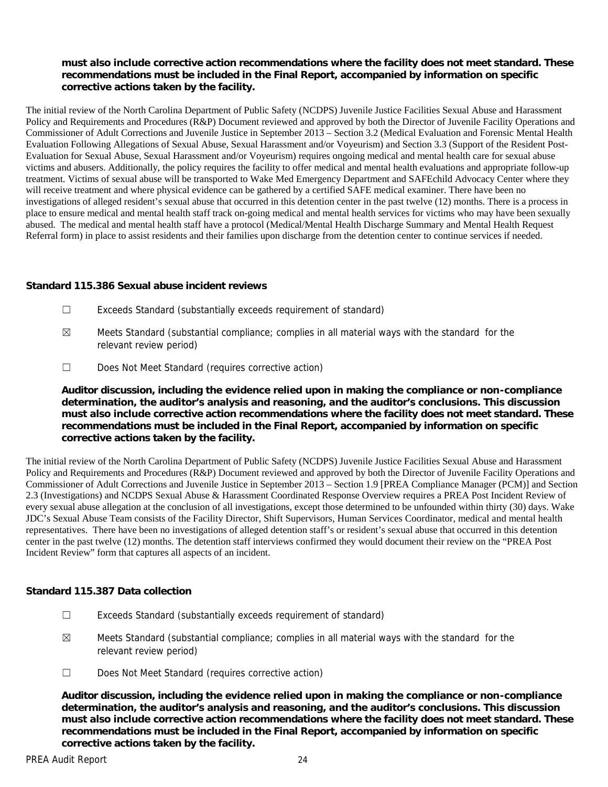**must also include corrective action recommendations where the facility does not meet standard. These recommendations must be included in the Final Report, accompanied by information on specific corrective actions taken by the facility.**

The initial review of the North Carolina Department of Public Safety (NCDPS) Juvenile Justice Facilities Sexual Abuse and Harassment Policy and Requirements and Procedures (R&P) Document reviewed and approved by both the Director of Juvenile Facility Operations and Commissioner of Adult Corrections and Juvenile Justice in September 2013 – Section 3.2 (Medical Evaluation and Forensic Mental Health Evaluation Following Allegations of Sexual Abuse, Sexual Harassment and/or Voyeurism) and Section 3.3 (Support of the Resident Post- Evaluation for Sexual Abuse, Sexual Harassment and/or Voyeurism) requires ongoing medical and mental health care for sexual abuse victims and abusers. Additionally, the policy requires the facility to offer medical and mental health evaluations and appropriate follow-up treatment. Victims of sexual abuse will be transported to Wake Med Emergency Department and SAFEchild Advocacy Center where they will receive treatment and where physical evidence can be gathered by a certified SAFE medical examiner. There have been no investigations of alleged resident's sexual abuse that occurred in this detention center in the past twelve (12) months. There is a process in place to ensure medical and mental health staff track on-going medical and mental health services for victims who may have been sexually abused. The medical and mental health staff have a protocol (Medical/Mental Health Discharge Summary and Mental Health Request Referral form) in place to assist residents and their families upon discharge from the detention center to continue services if needed.

**Standard 115.386 Sexual abuse incident reviews**

- ☐ Exceeds Standard (substantially exceeds requirement of standard)
- $\boxtimes$  Meets Standard (substantial compliance; complies in all material ways with the standard for the relevant review period)
- ☐ Does Not Meet Standard (requires corrective action)

**Auditor discussion, including the evidence relied upon in making the compliance or non-compliance determination, the auditor's analysis and reasoning, and the auditor's conclusions. This discussion must also include corrective action recommendations where the facility does not meet standard. These recommendations must be included in the Final Report, accompanied by information on specific corrective actions taken by the facility.**

The initial review of the North Carolina Department of Public Safety (NCDPS) Juvenile Justice Facilities Sexual Abuse and Harassment Policy and Requirements and Procedures (R&P) Document reviewed and approved by both the Director of Juvenile Facility Operations and Commissioner of Adult Corrections and Juvenile Justice in September 2013 – Section 1.9 [PREA Compliance Manager (PCM)] and Section 2.3 (Investigations) and NCDPS Sexual Abuse & Harassment Coordinated Response Overview requires a PREA Post Incident Review of every sexual abuse allegation at the conclusion of all investigations, except those determined to be unfounded within thirty (30) days. Wake JDC's Sexual Abuse Team consists of the Facility Director, Shift Supervisors, Human Services Coordinator, medical and mental health representatives. There have been no investigations of alleged detention staff's or resident's sexual abuse that occurred in this detention center in the past twelve (12) months. The detention staff interviews confirmed they would document their review on the "PREA Post Incident Review" form that captures all aspects of an incident.

**Standard 115.387 Data collection**

- ☐ Exceeds Standard (substantially exceeds requirement of standard)
- $\boxtimes$  Meets Standard (substantial compliance; complies in all material ways with the standard for the relevant review period)
- ☐ Does Not Meet Standard (requires corrective action)

**Auditor discussion, including the evidence relied upon in making the compliance or non-compliance determination, the auditor's analysis and reasoning, and the auditor's conclusions. This discussion must also include corrective action recommendations where the facility does not meet standard. These recommendations must be included in the Final Report, accompanied by information on specific corrective actions taken by the facility.**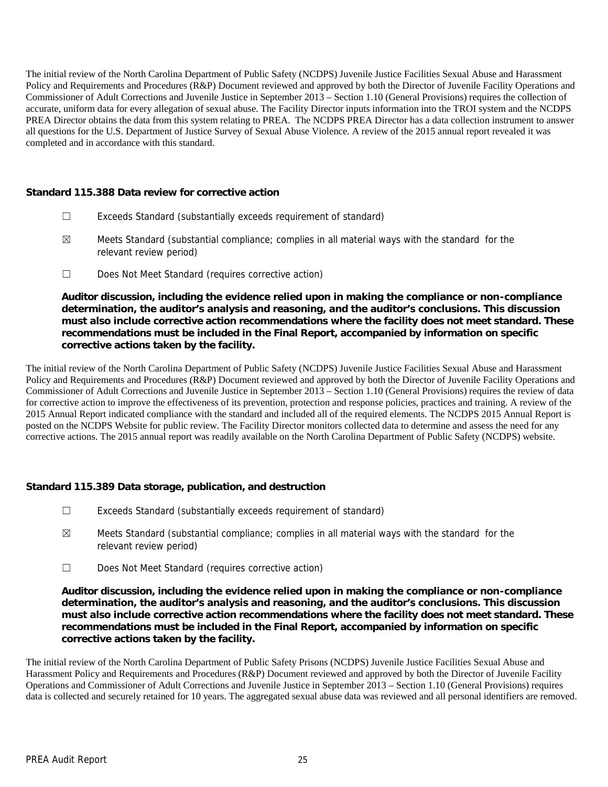The initial review of the North Carolina Department of Public Safety (NCDPS) Juvenile Justice Facilities Sexual Abuse and Harassment Policy and Requirements and Procedures (R&P) Document reviewed and approved by both the Director of Juvenile Facility Operations and Commissioner of Adult Corrections and Juvenile Justice in September 2013 – Section 1.10 (General Provisions) requires the collection of accurate, uniform data for every allegation of sexual abuse. The Facility Director inputs information into the TROI system and the NCDPS PREA Director obtains the data from this system relating to PREA. The NCDPS PREA Director has a data collection instrument to answer all questions for the U.S. Department of Justice Survey of Sexual Abuse Violence. A review of the 2015 annual report revealed it was completed and in accordance with this standard.

**Standard 115.388 Data review for corrective action**

- ☐ Exceeds Standard (substantially exceeds requirement of standard)
- $\boxtimes$  Meets Standard (substantial compliance; complies in all material ways with the standard for the relevant review period)
- ☐ Does Not Meet Standard (requires corrective action)

**Auditor discussion, including the evidence relied upon in making the compliance or non-compliance determination, the auditor's analysis and reasoning, and the auditor's conclusions. This discussion must also include corrective action recommendations where the facility does not meet standard. These recommendations must be included in the Final Report, accompanied by information on specific corrective actions taken by the facility.**

The initial review of the North Carolina Department of Public Safety (NCDPS) Juvenile Justice Facilities Sexual Abuse and Harassment Policy and Requirements and Procedures (R&P) Document reviewed and approved by both the Director of Juvenile Facility Operations and Commissioner of Adult Corrections and Juvenile Justice in September 2013 – Section 1.10 (General Provisions) requires the review of data for corrective action to improve the effectiveness of its prevention, protection and response policies, practices and training. A review of the 2015 Annual Report indicated compliance with the standard and included all of the required elements. The NCDPS 2015 Annual Report is posted on the NCDPS Website for public review. The Facility Director monitors collected data to determine and assess the need for any corrective actions. The 2015 annual report was readily available on the North Carolina Department of Public Safety (NCDPS) website.

**Standard 115.389 Data storage, publication, and destruction**

- ☐ Exceeds Standard (substantially exceeds requirement of standard)
- $\boxtimes$  Meets Standard (substantial compliance; complies in all material ways with the standard for the relevant review period)
- ☐ Does Not Meet Standard (requires corrective action)

**Auditor discussion, including the evidence relied upon in making the compliance or non-compliance determination, the auditor's analysis and reasoning, and the auditor's conclusions. This discussion must also include corrective action recommendations where the facility does not meet standard. These recommendations must be included in the Final Report, accompanied by information on specific corrective actions taken by the facility.**

The initial review of the North Carolina Department of Public Safety Prisons (NCDPS) Juvenile Justice Facilities Sexual Abuse and Harassment Policy and Requirements and Procedures (R&P) Document reviewed and approved by both the Director of Juvenile Facility Operations and Commissioner of Adult Corrections and Juvenile Justice in September 2013 – Section 1.10 (General Provisions) requires data is collected and securely retained for 10 years. The aggregated sexual abuse data was reviewed and all personal identifiers are removed.